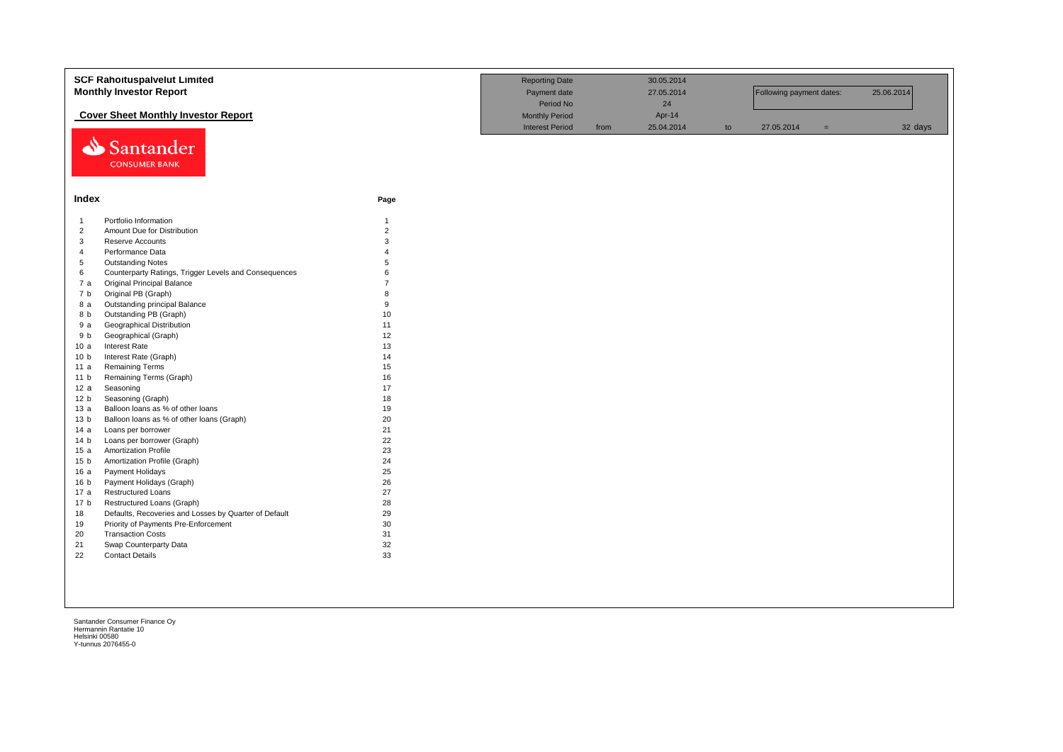|                 | <b>SCF Rahoituspalvelut Limited</b><br><b>Monthly Investor Report</b> | <b>Reporting Date</b><br>Payment date |                        | 30.05.2014<br>27.05.2014 |            | Following payment dates: |            | 25.06.2014 |         |
|-----------------|-----------------------------------------------------------------------|---------------------------------------|------------------------|--------------------------|------------|--------------------------|------------|------------|---------|
|                 |                                                                       |                                       | Period No              |                          | 24         |                          |            |            |         |
|                 | <b>Cover Sheet Monthly Investor Report</b>                            |                                       | <b>Monthly Period</b>  |                          | Apr-14     |                          |            |            |         |
|                 |                                                                       |                                       | <b>Interest Period</b> | from                     | 25.04.2014 | to                       | 27.05.2014 | $=$        | 32 days |
|                 | Santander<br><b>CONSUMER BANK</b>                                     |                                       |                        |                          |            |                          |            |            |         |
| Index           |                                                                       | Page                                  |                        |                          |            |                          |            |            |         |
| $\overline{1}$  | Portfolio Information                                                 | $\mathbf{1}$                          |                        |                          |            |                          |            |            |         |
| $\overline{2}$  | Amount Due for Distribution                                           | $\overline{2}$                        |                        |                          |            |                          |            |            |         |
| 3               | Reserve Accounts                                                      | 3                                     |                        |                          |            |                          |            |            |         |
| $\overline{4}$  | Performance Data                                                      |                                       |                        |                          |            |                          |            |            |         |
| 5               | <b>Outstanding Notes</b>                                              | 5                                     |                        |                          |            |                          |            |            |         |
| 6               | Counterparty Ratings, Trigger Levels and Consequences                 | 6                                     |                        |                          |            |                          |            |            |         |
| 7a              | <b>Original Principal Balance</b>                                     |                                       |                        |                          |            |                          |            |            |         |
| 7 b             | Original PB (Graph)                                                   | 8                                     |                        |                          |            |                          |            |            |         |
| 8 a             | Outstanding principal Balance                                         | 9                                     |                        |                          |            |                          |            |            |         |
| 8 b             | Outstanding PB (Graph)                                                | 10                                    |                        |                          |            |                          |            |            |         |
| 9a              | <b>Geographical Distribution</b>                                      | 11                                    |                        |                          |            |                          |            |            |         |
| 9 b             | Geographical (Graph)                                                  | 12                                    |                        |                          |            |                          |            |            |         |
| 10a             | Interest Rate                                                         | 13                                    |                        |                          |            |                          |            |            |         |
| 10 <sub>b</sub> | Interest Rate (Graph)                                                 | 14                                    |                        |                          |            |                          |            |            |         |
| 11a             | <b>Remaining Terms</b>                                                | 15                                    |                        |                          |            |                          |            |            |         |
| 11 <sub>b</sub> | Remaining Terms (Graph)                                               | 16                                    |                        |                          |            |                          |            |            |         |
| 12a             | Seasoning                                                             | 17                                    |                        |                          |            |                          |            |            |         |
| 12 <sub>b</sub> | Seasoning (Graph)                                                     | 18                                    |                        |                          |            |                          |            |            |         |
| 13a             | Balloon loans as % of other loans                                     | 19                                    |                        |                          |            |                          |            |            |         |
| 13 <sub>b</sub> | Balloon loans as % of other loans (Graph)                             | 20                                    |                        |                          |            |                          |            |            |         |
| 14a             | Loans per borrower                                                    | 21                                    |                        |                          |            |                          |            |            |         |
| 14 <sub>b</sub> | Loans per borrower (Graph)                                            | 22                                    |                        |                          |            |                          |            |            |         |
| 15a             | <b>Amortization Profile</b>                                           | 23                                    |                        |                          |            |                          |            |            |         |
| 15 <sub>b</sub> | Amortization Profile (Graph)                                          | 24                                    |                        |                          |            |                          |            |            |         |
| 16a             | Payment Holidays                                                      | 25                                    |                        |                          |            |                          |            |            |         |
| 16 <sub>b</sub> | Payment Holidays (Graph)                                              | 26                                    |                        |                          |            |                          |            |            |         |
| 17 a            | <b>Restructured Loans</b>                                             | 27                                    |                        |                          |            |                          |            |            |         |
| 17 <sub>b</sub> | Restructured Loans (Graph)                                            | 28                                    |                        |                          |            |                          |            |            |         |
| 18              | Defaults, Recoveries and Losses by Quarter of Default                 | 29                                    |                        |                          |            |                          |            |            |         |
| 19              | Priority of Payments Pre-Enforcement                                  | 30                                    |                        |                          |            |                          |            |            |         |
| 20              | <b>Transaction Costs</b>                                              | 31                                    |                        |                          |            |                          |            |            |         |
| 21              | Swap Counterparty Data                                                | 32                                    |                        |                          |            |                          |            |            |         |
| 22              | <b>Contact Details</b>                                                | 33                                    |                        |                          |            |                          |            |            |         |
|                 |                                                                       |                                       |                        |                          |            |                          |            |            |         |
|                 |                                                                       |                                       |                        |                          |            |                          |            |            |         |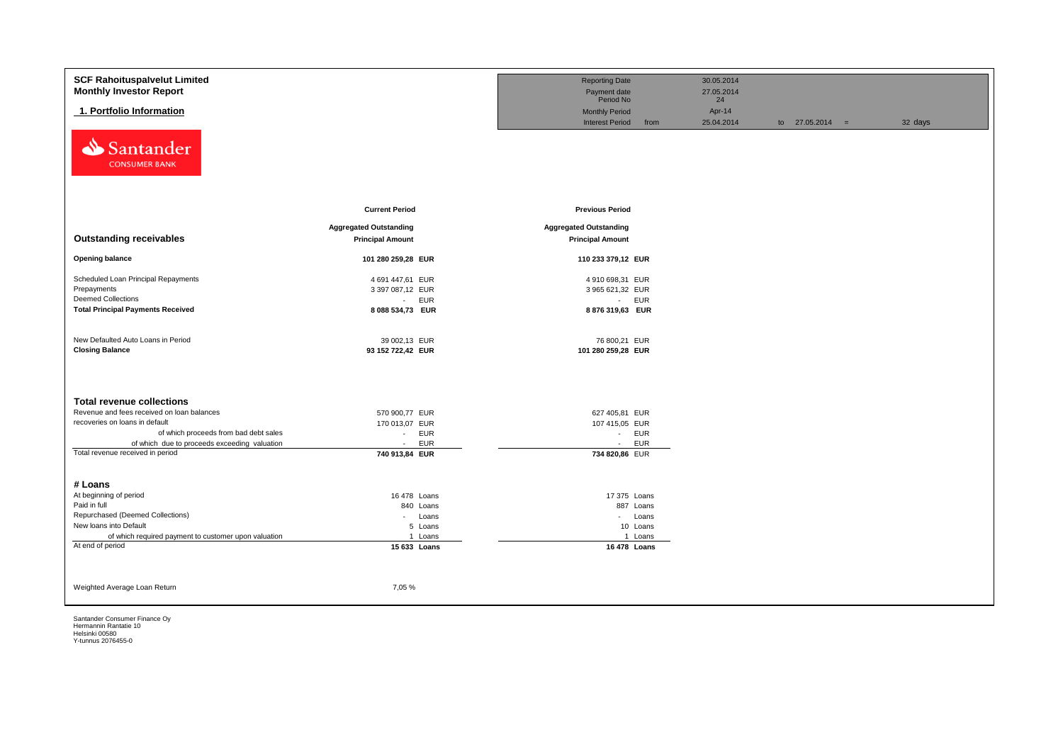| <b>SCF Rahoituspalvelut Limited</b>                  |                               | <b>Reporting Date</b>         |            | 30.05.2014       |                   |         |
|------------------------------------------------------|-------------------------------|-------------------------------|------------|------------------|-------------------|---------|
| <b>Monthly Investor Report</b>                       |                               | Payment date<br>Period No     |            | 27.05.2014<br>24 |                   |         |
| 1. Portfolio Information                             |                               | <b>Monthly Period</b>         |            | Apr-14           |                   |         |
|                                                      |                               | <b>Interest Period</b>        | from       | 25.04.2014       | to $27.05.2014 =$ | 32 days |
| Santander<br>⇘<br><b>CONSUMER BANK</b>               |                               |                               |            |                  |                   |         |
|                                                      | <b>Current Period</b>         | <b>Previous Period</b>        |            |                  |                   |         |
|                                                      | <b>Aggregated Outstanding</b> | <b>Aggregated Outstanding</b> |            |                  |                   |         |
| <b>Outstanding receivables</b>                       | <b>Principal Amount</b>       | <b>Principal Amount</b>       |            |                  |                   |         |
| <b>Opening balance</b>                               | 101 280 259,28 EUR            | 110 233 379,12 EUR            |            |                  |                   |         |
| Scheduled Loan Principal Repayments                  | 4 691 447,61 EUR              | 4 910 698,31 EUR              |            |                  |                   |         |
| Prepayments                                          | 3 397 087,12 EUR              | 3 965 621,32 EUR              |            |                  |                   |         |
| <b>Deemed Collections</b>                            | <b>EUR</b><br>$\sim 100$      |                               | - EUR      |                  |                   |         |
| <b>Total Principal Payments Received</b>             | 8 088 534,73 EUR              | 8876319,63 EUR                |            |                  |                   |         |
|                                                      |                               |                               |            |                  |                   |         |
| New Defaulted Auto Loans in Period                   | 39 002,13 EUR                 | 76 800,21 EUR                 |            |                  |                   |         |
| <b>Closing Balance</b>                               | 93 152 722,42 EUR             | 101 280 259,28 EUR            |            |                  |                   |         |
|                                                      |                               |                               |            |                  |                   |         |
|                                                      |                               |                               |            |                  |                   |         |
| <b>Total revenue collections</b>                     |                               |                               |            |                  |                   |         |
| Revenue and fees received on loan balances           | 570 900,77 EUR                | 627 405,81 EUR                |            |                  |                   |         |
| recoveries on loans in default                       | 170 013,07 EUR                | 107 415,05 EUR                |            |                  |                   |         |
| of which proceeds from bad debt sales                | EUR<br>$\sim$                 |                               | - EUR      |                  |                   |         |
| of which due to proceeds exceeding valuation         | <b>EUR</b><br>$\sim$          | $\sim$                        | <b>EUR</b> |                  |                   |         |
| Total revenue received in period                     | 740 913,84 EUR                | 734 820,86 EUR                |            |                  |                   |         |
|                                                      |                               |                               |            |                  |                   |         |
| # Loans                                              |                               |                               |            |                  |                   |         |
| At beginning of period                               | 16 478 Loans                  | 17 375 Loans                  |            |                  |                   |         |
| Paid in full                                         | 840 Loans                     |                               | 887 Loans  |                  |                   |         |
| Repurchased (Deemed Collections)                     | Loans<br>$\sim$               |                               | - Loans    |                  |                   |         |
| New loans into Default                               | 5 Loans                       |                               | 10 Loans   |                  |                   |         |
| of which required payment to customer upon valuation | 1 Loans                       |                               | 1 Loans    |                  |                   |         |
| At end of period                                     | 15 633 Loans                  | 16 478 Loans                  |            |                  |                   |         |
|                                                      |                               |                               |            |                  |                   |         |
|                                                      |                               |                               |            |                  |                   |         |
| Weighted Average Loan Return                         | 7,05 %                        |                               |            |                  |                   |         |
|                                                      |                               |                               |            |                  |                   |         |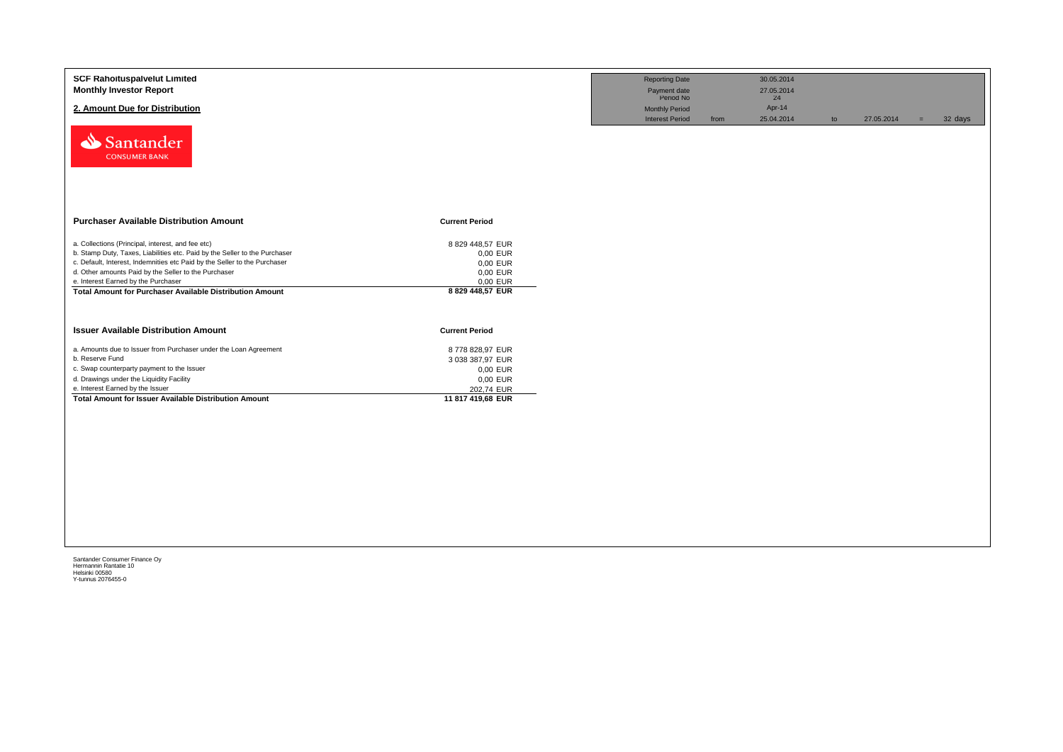| <b>SCF Rahoituspalvelut Limited</b><br><b>Monthly Investor Report</b><br>2. Amount Due for Distribution<br>Santander<br><b>CONSUMER BANK</b>                                                                                                                                                                                                                                                                                     |                                                                                                                         | <b>Reporting Date</b><br>Payment date<br>Period No<br><b>Monthly Period</b><br><b>Interest Period</b> | from | 30.05.2014<br>27.05.2014<br>24<br>Apr-14<br>25.04.2014 | to | 27.05.2014 | $=$ | 32 days |
|----------------------------------------------------------------------------------------------------------------------------------------------------------------------------------------------------------------------------------------------------------------------------------------------------------------------------------------------------------------------------------------------------------------------------------|-------------------------------------------------------------------------------------------------------------------------|-------------------------------------------------------------------------------------------------------|------|--------------------------------------------------------|----|------------|-----|---------|
| <b>Purchaser Available Distribution Amount</b><br>a. Collections (Principal, interest, and fee etc)<br>b. Stamp Duty, Taxes, Liabilities etc. Paid by the Seller to the Purchaser<br>c. Default, Interest, Indemnities etc Paid by the Seller to the Purchaser<br>d. Other amounts Paid by the Seller to the Purchaser<br>e. Interest Earned by the Purchaser<br><b>Total Amount for Purchaser Available Distribution Amount</b> | <b>Current Period</b><br>8 829 448,57 EUR<br>0,00 EUR<br>0,00 EUR<br>0,00 EUR<br>0,00 EUR<br>8 829 448,57 EUR           |                                                                                                       |      |                                                        |    |            |     |         |
| <b>Issuer Available Distribution Amount</b><br>a. Amounts due to Issuer from Purchaser under the Loan Agreement<br>b. Reserve Fund<br>c. Swap counterparty payment to the Issuer<br>d. Drawings under the Liquidity Facility<br>e. Interest Earned by the Issuer<br><b>Total Amount for Issuer Available Distribution Amount</b>                                                                                                 | <b>Current Period</b><br>8778 828,97 EUR<br>3 038 387,97 EUR<br>0,00 EUR<br>0,00 EUR<br>202,74 EUR<br>11 817 419,68 EUR |                                                                                                       |      |                                                        |    |            |     |         |
|                                                                                                                                                                                                                                                                                                                                                                                                                                  |                                                                                                                         |                                                                                                       |      |                                                        |    |            |     |         |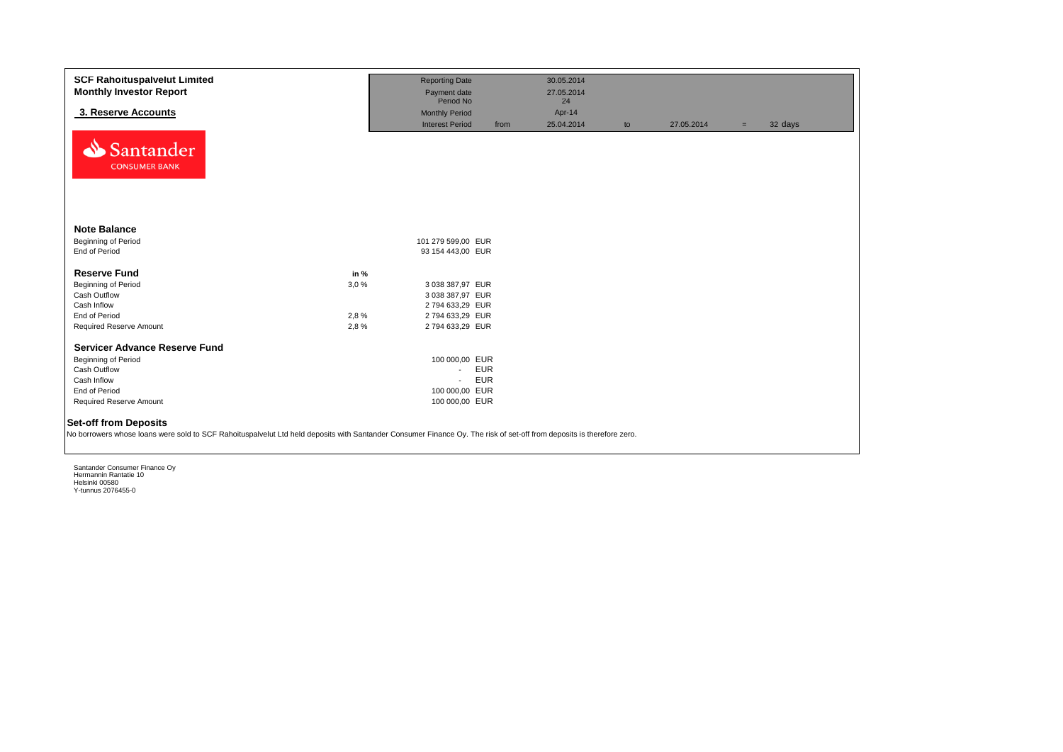| <b>SCF Rahoituspalvelut Limited</b><br><b>Monthly Investor Report</b><br>3. Reserve Accounts<br>Santander<br><b>CONSUMER BANK</b>                                      |                              | <b>Reporting Date</b><br>Payment date<br>Period No<br><b>Monthly Period</b><br><b>Interest Period</b> | from                     | 30.05.2014<br>27.05.2014<br>24<br>Apr-14<br>25.04.2014 | to | 27.05.2014 | $=$ | 32 days |
|------------------------------------------------------------------------------------------------------------------------------------------------------------------------|------------------------------|-------------------------------------------------------------------------------------------------------|--------------------------|--------------------------------------------------------|----|------------|-----|---------|
| <b>Note Balance</b><br>Beginning of Period<br>End of Period                                                                                                            |                              | 101 279 599,00 EUR<br>93 154 443,00 EUR                                                               |                          |                                                        |    |            |     |         |
| <b>Reserve Fund</b><br><b>Beginning of Period</b><br>Cash Outflow<br>Cash Inflow<br>End of Period<br>Required Reserve Amount                                           | in %<br>3.0%<br>2,8%<br>2,8% | 3 038 387,97 EUR<br>3 038 387,97 EUR<br>2794 633,29 EUR<br>2794 633,29 EUR<br>2794 633,29 EUR         |                          |                                                        |    |            |     |         |
| <b>Servicer Advance Reserve Fund</b><br>Beginning of Period<br>Cash Outflow<br>Cash Inflow<br>End of Period<br>Required Reserve Amount<br><b>Set-off from Deposits</b> |                              | 100 000,00 EUR<br>$\sim$<br>$\mathcal{L}_{\mathcal{A}}$<br>100 000,00 EUR<br>100 000,00 EUR           | <b>EUR</b><br><b>EUR</b> |                                                        |    |            |     |         |
| No borrowers whose loans were sold to SCF Rahoituspalvelut Ltd held deposits with Santander Consumer Finance Oy. The risk of set-off from deposits is therefore zero.  |                              |                                                                                                       |                          |                                                        |    |            |     |         |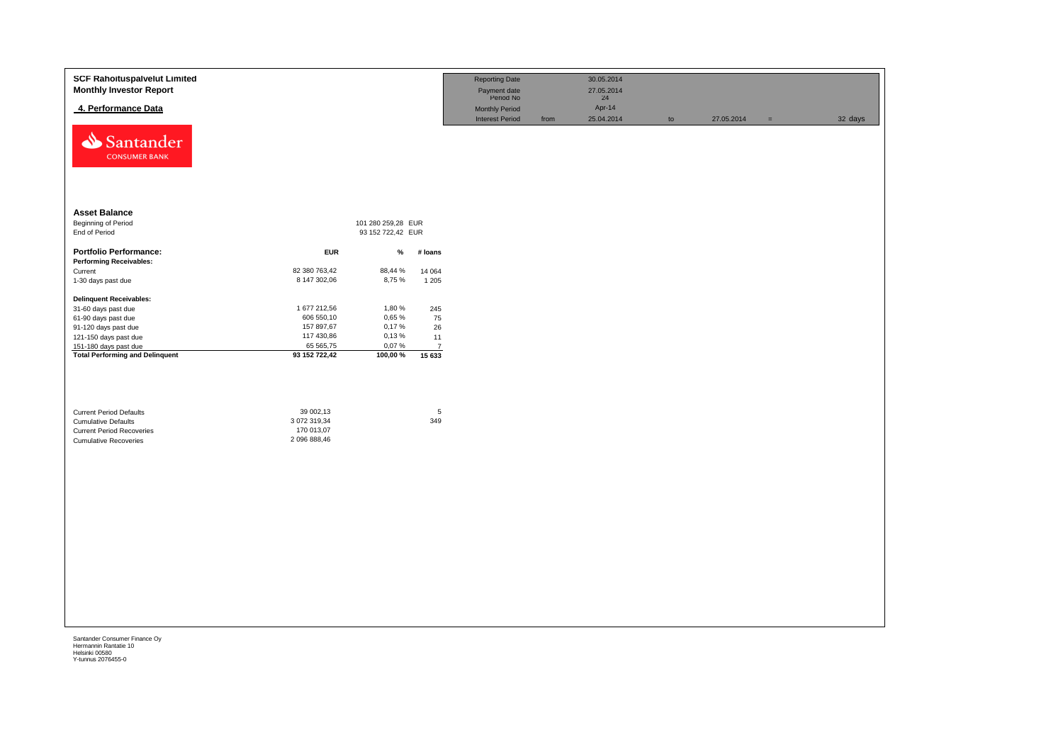| Santander<br><b>CONSUMER BANK</b><br><b>Asset Balance</b><br>Beginning of Period<br>101 280 259,28 EUR<br>End of Period<br>93 152 722,42 EUR<br><b>Portfolio Performance:</b><br><b>EUR</b><br>$\%$<br># loans<br><b>Performing Receivables:</b><br>82 380 763,42<br>88,44 %<br>Current<br>14 064<br>8,75%<br>8 147 302,06<br>1-30 days past due<br>1 2 0 5<br><b>Delinquent Receivables:</b><br>1 677 212,56<br>1,80%<br>245<br>31-60 days past due<br>0,65%<br>606 550,10<br>75<br>61-90 days past due<br>157 897,67<br>0,17%<br>91-120 days past due<br>26<br>117 430,86<br>0,13%<br>121-150 days past due<br>11<br>65 565,75<br>0,07%<br>151-180 days past due<br>$\overline{7}$<br><b>Total Performing and Delinquent</b><br>100,00%<br>93 152 722,42<br>15 633<br>$\sqrt{5}$<br>39 002,13<br><b>Current Period Defaults</b><br>349<br>3 072 319,34<br><b>Cumulative Defaults</b><br>170 013,07<br><b>Current Period Recoveries</b><br>2 096 888,46<br><b>Cumulative Recoveries</b> | <b>SCF Rahoituspalvelut Limited</b><br><b>Monthly Investor Report</b><br>4. Performance Data |  | <b>Reporting Date</b><br>Payment date<br>Period No<br>Monthly Period<br><b>Interest Period</b> | from | 30.05.2014<br>27.05.2014<br>24<br>Apr-14<br>25.04.2014 | $\mathsf{to}$ | 27.05.2014 | $\equiv$ | 32 days |
|------------------------------------------------------------------------------------------------------------------------------------------------------------------------------------------------------------------------------------------------------------------------------------------------------------------------------------------------------------------------------------------------------------------------------------------------------------------------------------------------------------------------------------------------------------------------------------------------------------------------------------------------------------------------------------------------------------------------------------------------------------------------------------------------------------------------------------------------------------------------------------------------------------------------------------------------------------------------------------------|----------------------------------------------------------------------------------------------|--|------------------------------------------------------------------------------------------------|------|--------------------------------------------------------|---------------|------------|----------|---------|
|                                                                                                                                                                                                                                                                                                                                                                                                                                                                                                                                                                                                                                                                                                                                                                                                                                                                                                                                                                                          |                                                                                              |  |                                                                                                |      |                                                        |               |            |          |         |
|                                                                                                                                                                                                                                                                                                                                                                                                                                                                                                                                                                                                                                                                                                                                                                                                                                                                                                                                                                                          |                                                                                              |  |                                                                                                |      |                                                        |               |            |          |         |
|                                                                                                                                                                                                                                                                                                                                                                                                                                                                                                                                                                                                                                                                                                                                                                                                                                                                                                                                                                                          |                                                                                              |  |                                                                                                |      |                                                        |               |            |          |         |
|                                                                                                                                                                                                                                                                                                                                                                                                                                                                                                                                                                                                                                                                                                                                                                                                                                                                                                                                                                                          |                                                                                              |  |                                                                                                |      |                                                        |               |            |          |         |
|                                                                                                                                                                                                                                                                                                                                                                                                                                                                                                                                                                                                                                                                                                                                                                                                                                                                                                                                                                                          |                                                                                              |  |                                                                                                |      |                                                        |               |            |          |         |
|                                                                                                                                                                                                                                                                                                                                                                                                                                                                                                                                                                                                                                                                                                                                                                                                                                                                                                                                                                                          |                                                                                              |  |                                                                                                |      |                                                        |               |            |          |         |
|                                                                                                                                                                                                                                                                                                                                                                                                                                                                                                                                                                                                                                                                                                                                                                                                                                                                                                                                                                                          |                                                                                              |  |                                                                                                |      |                                                        |               |            |          |         |
|                                                                                                                                                                                                                                                                                                                                                                                                                                                                                                                                                                                                                                                                                                                                                                                                                                                                                                                                                                                          |                                                                                              |  |                                                                                                |      |                                                        |               |            |          |         |
|                                                                                                                                                                                                                                                                                                                                                                                                                                                                                                                                                                                                                                                                                                                                                                                                                                                                                                                                                                                          |                                                                                              |  |                                                                                                |      |                                                        |               |            |          |         |
|                                                                                                                                                                                                                                                                                                                                                                                                                                                                                                                                                                                                                                                                                                                                                                                                                                                                                                                                                                                          |                                                                                              |  |                                                                                                |      |                                                        |               |            |          |         |
|                                                                                                                                                                                                                                                                                                                                                                                                                                                                                                                                                                                                                                                                                                                                                                                                                                                                                                                                                                                          |                                                                                              |  |                                                                                                |      |                                                        |               |            |          |         |
|                                                                                                                                                                                                                                                                                                                                                                                                                                                                                                                                                                                                                                                                                                                                                                                                                                                                                                                                                                                          |                                                                                              |  |                                                                                                |      |                                                        |               |            |          |         |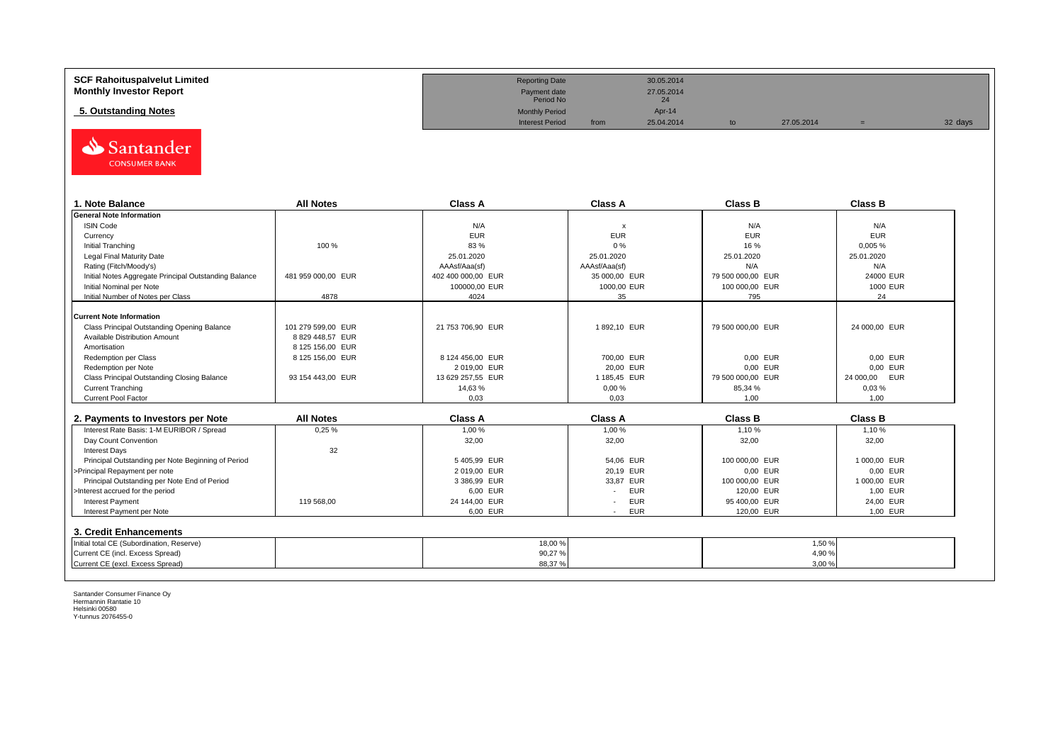| <b>SCF Rahoituspalvelut Limited</b> | <b>Reporting Date</b>     |      | 30.05.2014       |            |         |
|-------------------------------------|---------------------------|------|------------------|------------|---------|
| <b>Monthly Investor Report</b>      | Payment date<br>Period No |      | 27.05.2014<br>24 |            |         |
| 5. Outstanding Notes                | <b>Monthly Period</b>     |      | Apr-14           |            |         |
|                                     | <b>Interest Period</b>    | from | 25.04.2014       | 27.05.2014 | 32 days |



| 1. Note Balance                                       | <b>All Notes</b>   | <b>Class A</b>     | <b>Class A</b>            | <b>Class B</b>    | <b>Class B</b>   |
|-------------------------------------------------------|--------------------|--------------------|---------------------------|-------------------|------------------|
| <b>General Note Information</b>                       |                    |                    |                           |                   |                  |
| <b>ISIN Code</b>                                      |                    | N/A                | $\boldsymbol{\mathsf{x}}$ | N/A               | N/A              |
| Currency                                              |                    | <b>EUR</b>         | <b>EUR</b>                | <b>EUR</b>        | <b>EUR</b>       |
| Initial Tranching                                     | 100 %              | 83%                | 0%                        | 16%               | 0,005%           |
| Legal Final Maturity Date                             |                    | 25.01.2020         | 25.01.2020                | 25.01.2020        | 25.01.2020       |
| Rating (Fitch/Moody's)                                |                    | AAAsf/Aaa(sf)      | AAAsf/Aaa(sf)             | N/A               | N/A              |
| Initial Notes Aggregate Principal Outstanding Balance | 481 959 000.00 EUR | 402 400 000,00 EUR | 35 000,00 EUR             | 79 500 000.00 EUR | 24000 EUR        |
| Initial Nominal per Note                              |                    | 100000,00 EUR      | 1000,00 EUR               | 100 000,00 EUR    | 1000 EUR         |
| Initial Number of Notes per Class                     | 4878               | 4024               | 35                        | 795               | 24               |
|                                                       |                    |                    |                           |                   |                  |
| <b>Current Note Information</b>                       |                    |                    |                           |                   |                  |
| Class Principal Outstanding Opening Balance           | 101 279 599.00 EUR | 21 753 706,90 EUR  | 1892,10 EUR               | 79 500 000.00 EUR | 24 000,00 EUR    |
| Available Distribution Amount                         | 8 829 448,57 EUR   |                    |                           |                   |                  |
| Amortisation                                          | 8 125 156,00 EUR   |                    |                           |                   |                  |
| Redemption per Class                                  | 8 125 156,00 EUR   | 8 124 456,00 EUR   | 700,00 EUR                | 0,00 EUR          | 0,00 EUR         |
| Redemption per Note                                   |                    | 2019.00 EUR        | 20,00 EUR                 | 0,00 EUR          | 0,00 EUR         |
| Class Principal Outstanding Closing Balance           | 93 154 443.00 EUR  | 13 629 257,55 EUR  | 1 185,45 EUR              | 79 500 000,00 EUR | EUR<br>24 000,00 |
| <b>Current Tranching</b>                              |                    | 14,63%             | 0,00%                     | 85,34 %           | 0,03%            |
| Current Pool Factor                                   |                    | 0,03               | 0,03                      | 1,00              | 1,00             |

| 2. Payments to Investors per Note                  | <b>All Notes</b> | <b>Class A</b> | <b>Class A</b>                         | <b>Class B</b> | <b>Class B</b> |
|----------------------------------------------------|------------------|----------------|----------------------------------------|----------------|----------------|
| Interest Rate Basis: 1-M EURIBOR / Spread          | 0.25%            | 1.00 %         | 1,00 %                                 | 1.10%          | 1.10 %         |
| Day Count Convention                               |                  | 32,00          | 32,00                                  | 32,00          | 32,00          |
| <b>Interest Days</b>                               | 32               |                |                                        |                |                |
| Principal Outstanding per Note Beginning of Period |                  | 5405.99 EUR    | 54.06 EUR                              | 100 000.00 EUR | 1 000.00 EUR   |
| >Principal Repayment per note                      |                  | 2019.00 EUR    | 20.19 EUR                              | 0.00 EUR       | 0.00 EUR       |
| Principal Outstanding per Note End of Period       |                  | 3 386.99 EUR   | 33.87 EUR                              | 100 000.00 EUR | 1 000.00 EUR   |
| >Interest accrued for the period                   |                  | 6.00 EUR       | <b>EUR</b>                             | 120.00 EUR     | 1.00 EUR       |
| <b>Interest Payment</b>                            | 119 568.00       | 24 144,00 EUR  | <b>EUR</b><br>$\overline{\phantom{a}}$ | 95 400.00 EUR  | 24.00 EUR      |
| Interest Payment per Note                          |                  | 6,00 EUR       | <b>EUR</b>                             | 120,00 EUR     | 1,00 EUR       |
| 3. Credit Enhancements                             |                  |                |                                        |                |                |
| Initial total CE (Subordination, Reserve)          |                  | 18,00 %        |                                        |                | 1,50 %         |
| Current CE (incl. Excess Spread)                   |                  | 90,27%         |                                        |                | 4,90 %         |
| Current CE (excl. Excess Spread)                   |                  | 88,37%         |                                        |                | 3,00%          |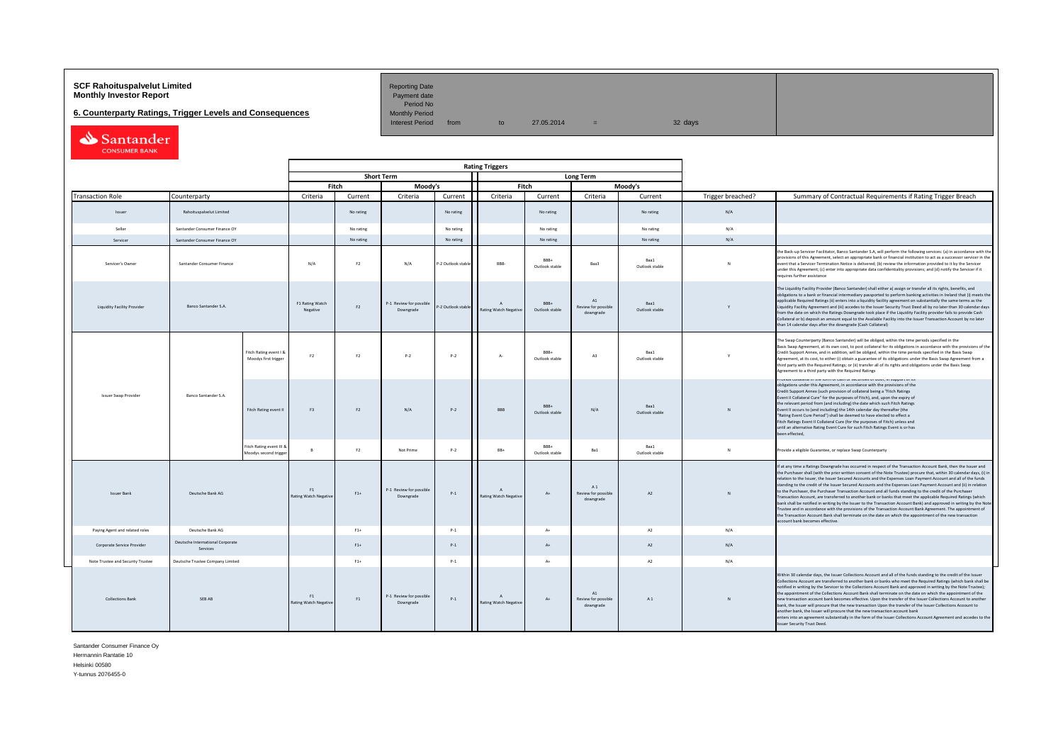# **SCF Rahoituspalvelut Limited Accord Reporting Date**<br>**Monthly Investor Report** Payment date **Payment date**

**6. Counterparty Ratings, Trigger Levels and Consequences** 

Period No<br>Monthly Period

Interest Period from to  $27.05.2014 = 32 \text{ days}$ 

Santander

|                                                            |                                              |                                                   |                                    |                   |                                      |                    | <b>Rating Triggers</b>                    |                        |                                                   |                        |                   |                                                                                                                                                                                                                                                                                                                                                                                                                                                                                                                                                                                                                                                                                                                                                                                                                                                                                                                                                                                                                                                                                                     |
|------------------------------------------------------------|----------------------------------------------|---------------------------------------------------|------------------------------------|-------------------|--------------------------------------|--------------------|-------------------------------------------|------------------------|---------------------------------------------------|------------------------|-------------------|-----------------------------------------------------------------------------------------------------------------------------------------------------------------------------------------------------------------------------------------------------------------------------------------------------------------------------------------------------------------------------------------------------------------------------------------------------------------------------------------------------------------------------------------------------------------------------------------------------------------------------------------------------------------------------------------------------------------------------------------------------------------------------------------------------------------------------------------------------------------------------------------------------------------------------------------------------------------------------------------------------------------------------------------------------------------------------------------------------|
|                                                            |                                              |                                                   |                                    | <b>Short Term</b> |                                      |                    |                                           |                        | <b>Long Term</b>                                  |                        |                   |                                                                                                                                                                                                                                                                                                                                                                                                                                                                                                                                                                                                                                                                                                                                                                                                                                                                                                                                                                                                                                                                                                     |
|                                                            |                                              |                                                   |                                    | Fitch             | Moody's                              |                    |                                           | Fitch                  |                                                   | Moody's                |                   |                                                                                                                                                                                                                                                                                                                                                                                                                                                                                                                                                                                                                                                                                                                                                                                                                                                                                                                                                                                                                                                                                                     |
| <b>Transaction Role</b>                                    | Counterparty                                 |                                                   | Criteria                           | Current           | Criteria                             | Current            | Criteria                                  | Current                | Criteria                                          | Current                | Trigger breached? | Summary of Contractual Requirements if Rating Trigger Breach                                                                                                                                                                                                                                                                                                                                                                                                                                                                                                                                                                                                                                                                                                                                                                                                                                                                                                                                                                                                                                        |
| Issuer                                                     | Rahoituspalvelut Limited                     |                                                   |                                    | No rating         |                                      | No rating          |                                           | No rating              |                                                   | No rating              | N/A               |                                                                                                                                                                                                                                                                                                                                                                                                                                                                                                                                                                                                                                                                                                                                                                                                                                                                                                                                                                                                                                                                                                     |
| Seller                                                     | Santander Consumer Finance OY                |                                                   |                                    | No rating         |                                      | No rating          |                                           | No rating              |                                                   | No rating              | N/A               |                                                                                                                                                                                                                                                                                                                                                                                                                                                                                                                                                                                                                                                                                                                                                                                                                                                                                                                                                                                                                                                                                                     |
| Servicer                                                   | Santander Consumer Finance OY                |                                                   |                                    | No rating         |                                      | No rating          |                                           | No rating              |                                                   | No rating              | N/A               |                                                                                                                                                                                                                                                                                                                                                                                                                                                                                                                                                                                                                                                                                                                                                                                                                                                                                                                                                                                                                                                                                                     |
| Servicer's Owner                                           | Santander Consumer Finance                   |                                                   | N/A                                | F2                | N/A                                  | P-2 Outlook stab   | RRR-                                      | BRR+<br>Outlook stable | Baa3                                              | Baa1<br>Outlook stable | <b>N</b>          | the Back-up Servicer Facilitator, Banco Santander S.A, will perform the following services: (a) in accordance with th<br>provisions of this Agreement, select an appropriate bank or financial institution to act as a successor servicer in the<br>event that a Servicer Termination Notice is delivered; (b) review the information provided to it by the Servicer<br>under this Agreement; (c) enter into appropriate data confidentiality provisions; and (d) notify the Servicer if it<br>requires further assistance                                                                                                                                                                                                                                                                                                                                                                                                                                                                                                                                                                          |
| Banco Santander S.A.<br><b>Liquidity Facility Provider</b> |                                              |                                                   | F1 Rating Watch<br>Negative        | F2                | P-1 Review for possible<br>Downgrade | P-2 Outlook stable | $\mathbf{A}$<br>Rating Watch Negativ      | BBB+<br>Outlook stable | $\mathbb{A}1$<br>Review for possible<br>downgrade | Baa1<br>Outlook stable | Y                 | The Liquidity Facility Provider (Banco Santander) shall either a) assign or transfer all its rights, benefits, and<br>obligations to a bank or financial intermediary passported to perform banking activities in Ireland that (i) meets the<br>applicable Required Ratings (ii) enters into a liquidity facility agreement on substantially the same terms as the<br>Liquidity Facility Agreement and (iii) accedes to the Issuer Security Trust Deed all by no later than 30 calendar day.<br>from the date on which the Ratings Downgrade took place if the Liquidity Facility provider fails to provide Cash<br>Collateral or b) deposit an amount equal to the Available Facility into the Issuer Transaction Account by no later<br>than 14 calendar days after the downgrade (Cash Collateral)                                                                                                                                                                                                                                                                                               |
|                                                            |                                              | Fitch Rating event I &<br>Moodys first trigger    | F2                                 | F2                | $P-2$                                | $P-2$              | $A-$                                      | BBB+<br>Outlook stable | A3                                                | Baa1<br>Outlook stable |                   | The Swap Counterparty (Banco Santander) will be obliged, within the time periods specified in the<br>Basis Swap Agreement, at its own cost, to post collateral for its obligations in accordance with the provisions of the<br>Credit Support Annex, and in addition, will be obliged, within the time periods specified in the Basis Swap<br>Agreement, at its cost, to either (i) obtain a guarantee of its obligations under the Basis Swap Agreement from a<br>third party with the Required Ratings; or (ii) transfer all of its rights and obligations under the Basis Swap<br>Agreement to a third party with the Required Ratings                                                                                                                                                                                                                                                                                                                                                                                                                                                           |
| Issuer Swap Provider                                       | Banco Santander S.A.                         | Fitch Rating event II                             | F3                                 | F2                | N/A                                  | $P-2$              | <b>BBB</b>                                | RRR+<br>Outlook stable | N/A                                               | Baa1<br>Outlook stable |                   | TOYIDE CORACTALITE OF TOTHEOLOGYE OF SECURITIES OF DOOR, IN SUDDIVERTIES<br>obligations under this Agreement, in accordance with the provisions of the<br>Credit Support Annex (such provision of collateral being a "Fitch Ratings<br>Event II Collateral Cure" for the purposes of Fitch), and, upon the expiry of<br>the relevant period from (and including) the date which such Fitch Ratings<br>Event II occurs to (and including) the 14th calendar day thereafter (the<br>"Rating Event Cure Period") shall be deemed to have elected to effect a<br>Fitch Ratings Event II Collateral Cure (for the purposes of Fitch) unless and<br>until an alternative Rating Event Cure for such Fitch Ratings Event is or has<br>been effected,                                                                                                                                                                                                                                                                                                                                                       |
|                                                            |                                              | Fitch Rating event III &<br>Moodys second trigger | $\mathbf{R}$                       | F2                | Not Prime                            | $P-2$              | BB+                                       | BBB+<br>Outlook stable | Ba1                                               | Baa1<br>Outlook stable | N                 | Provide a eligible Guarantee, or replace Swap Counterparty                                                                                                                                                                                                                                                                                                                                                                                                                                                                                                                                                                                                                                                                                                                                                                                                                                                                                                                                                                                                                                          |
| <b>Issuer Bank</b>                                         | Deutsche Bank AG                             |                                                   | F1<br><b>Rating Watch Negative</b> | $F1+$             | P-1 Review for possible<br>Downgrade | $P-1$              | $\mathbf{A}$<br>Rating Watch Negative     | $A+$                   | A1<br>Review for possible<br>downgrade            | A2                     | N                 | If at any time a Ratings Downgrade has occurred in respect of the Transaction Account Bank, then the Issuer and<br>the Purchaser shall (with the prior written consent of the Note Trustee) procure that, within 30 calendar days, (i) ir<br>relation to the Issuer, the Issuer Secured Accounts and the Expenses Loan Payment Account and all of the funds<br>standing to the credit of the Issuer Secured Accounts and the Expenses Loan Payment Account and (ii) in relation<br>to the Purchaser, the Purchaser Transaction Account and all funds standing to the credit of the Purchaser<br>Transaction Account, are transferred to another bank or banks that meet the applicable Required Ratings (which<br>bank shall be notified in writing by the Issuer to the Transaction Account Bank) and approved in writing by the Not<br>Trustee and in accordance with the provisions of the Transaction Account Bank Agreement. The appointment of<br>the Transaction Account Bank shall terminate on the date on which the appointment of the new transaction<br>account bank becomes effective. |
| Paying Agent and related roles                             | Deutsche Bank AG                             |                                                   |                                    | $F1+$             |                                      | $P-1$              |                                           | $A+$                   |                                                   | A2                     | N/A               |                                                                                                                                                                                                                                                                                                                                                                                                                                                                                                                                                                                                                                                                                                                                                                                                                                                                                                                                                                                                                                                                                                     |
| Corporate Service Provider                                 | Deutsche International Corporate<br>Services |                                                   |                                    | $F1+$             |                                      | $P-1$              |                                           | $A+$                   |                                                   | A2                     | N/A               |                                                                                                                                                                                                                                                                                                                                                                                                                                                                                                                                                                                                                                                                                                                                                                                                                                                                                                                                                                                                                                                                                                     |
| Note Trustee and Security Trustee                          | Deutsche Trustee Company Limited             |                                                   |                                    | $F1+$             |                                      | $P-1$              |                                           | $A+$                   |                                                   | A <sub>2</sub>         | N/A               |                                                                                                                                                                                                                                                                                                                                                                                                                                                                                                                                                                                                                                                                                                                                                                                                                                                                                                                                                                                                                                                                                                     |
| <b>Collections Bank</b>                                    | SEB AB                                       |                                                   | F1<br><b>Rating Watch Negative</b> | F1                | P-1 Review for possible<br>Downgrade | $P-1$              | $\Lambda$<br><b>Rating Watch Negative</b> | $A+$                   | A1<br>Review for possible<br>downgrade            | A1                     | $\mathbf{N}$      | Within 30 calendar days, the Issuer Collections Account and all of the funds standing to the credit of the Issuer<br>Collections Account are transferred to another bank or banks who meet the Required Ratings (which bank shall be<br>notified in writing by the Servicer to the Collections Account Bank and approved in writing by the Note Trustee);<br>the appointment of the Collections Account Bank shall terminate on the date on which the appointment of the<br>new transaction account bank becomes effective. Upon the transfer of the Issuer Collections Account to another<br>bank, the Issuer will procure that the new transaction Upon the transfer of the Issuer Collections Acoount to<br>another bank, the Issuer will procure that the new transaction account bank<br>enters into an agreement substantially in the form of the Issuer Collections Account Agreement and accedes to the<br><b>Issuer Security Trust Deed.</b>                                                                                                                                               |

Santander Consumer Finance Oy Hermannin Rantatie 10

Helsinki 00580

Y-tunnus 2076455-0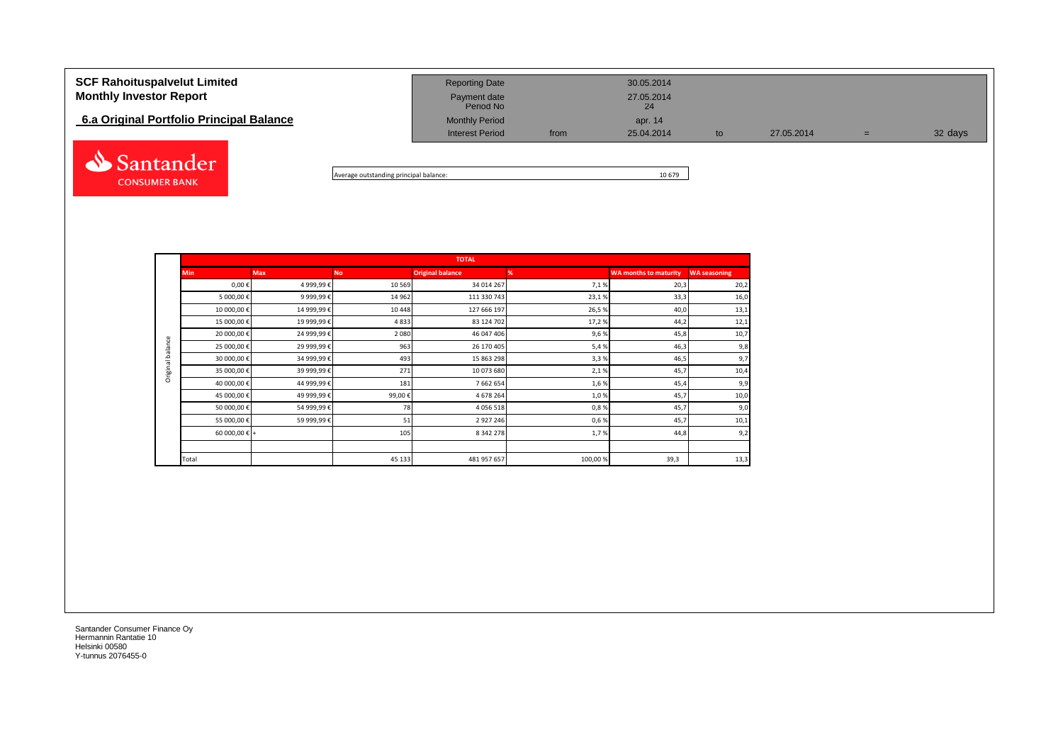# **SCF Rahoituspalvelut Limited** and **Reporting Date** 30.05.2014 **Monthly Investor Report Payment date** 27.05.2014 Payment date<br>Period No **6.a Original Portfolio Principal Balance Monthly Period** Monthly Period apr. 14 Interest Period from 25.04.2014 to 27.05.2014 = 32 days Santander



|                  |                        |             |           | <b>TOTAL</b>            |         |                              |                     |
|------------------|------------------------|-------------|-----------|-------------------------|---------|------------------------------|---------------------|
|                  | <b>Min</b>             | <b>Max</b>  | <b>No</b> | <b>Original balance</b> | %       | <b>WA months to maturity</b> | <b>WA seasoning</b> |
|                  | $0,00 \in$             | 4 999,99€   | 10 5 69   | 34 014 267              | 7,1%    | 20,3                         | 20,2                |
|                  | 5 000,00 €             | 9 999,99€   | 14 9 62   | 111 330 743             | 23,1%   | 33,3                         | 16,0                |
|                  | 10 000,00 €            | 14 999,99€  | 10 4 48   | 127 666 197             | 26,5%   | 40,0                         | 13,1                |
|                  | 15 000,00 €            | 19 999,99€  | 4833      | 83 124 702              | 17,2%   | 44,2                         | 12,1                |
|                  | 20 000,00 €            | 24 999,99 € | 2 0 8 0   | 46 047 406              | 9,6%    | 45,8                         | 10,7                |
| Original balance | 25 000,00 €            | 29 999,99 € | 963       | 26 170 405              | 5,4%    | 46,3                         | 9,8                 |
|                  | 30 000,00 €            | 34 999,99 € | 493       | 15 863 298              | 3,3%    | 46,5                         | 9,7                 |
|                  | 35 000,00 €            | 39 999,99 € | 271       | 10 073 680              | 2,1%    | 45,7                         | 10,4                |
|                  | 40 000,00 €            | 44 999,99 € | 181       | 7 662 654               | 1,6%    | 45,4                         | 9,9                 |
|                  | 45 000,00 €            | 49 999,99€  | 99,00€    | 4 678 264               | 1,0%    | 45,7                         | 10,0                |
|                  | 50 000,00 €            | 54 999,99€  | 78        | 4 0 5 6 5 1 8           | 0,8%    | 45,7                         | 9,0                 |
|                  | 55 000,00 €            | 59 999,99 € | 51        | 2 9 2 7 2 4 6           | 0,6%    | 45,7                         | 10,1                |
|                  | 60 000,00 $\epsilon$ + |             | 105       | 8 342 278               | 1,7%    | 44,8                         | 9,2                 |
|                  |                        |             |           |                         |         |                              |                     |
|                  | Total                  |             | 45 133    | 481 957 657             | 100,00% | 39,3                         | 13,3                |

Santander Consumer Finance Oy Hermannin Rantatie 10 Helsinki 00580 Y-tunnus 2076455-0

**CONSUMER BANK**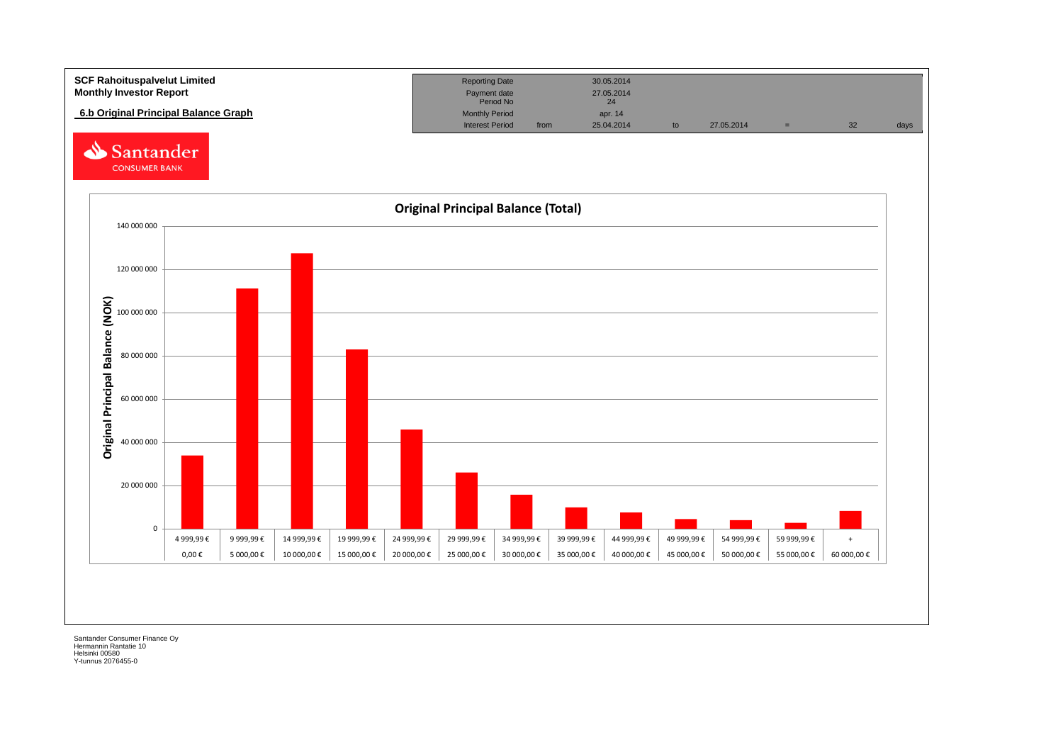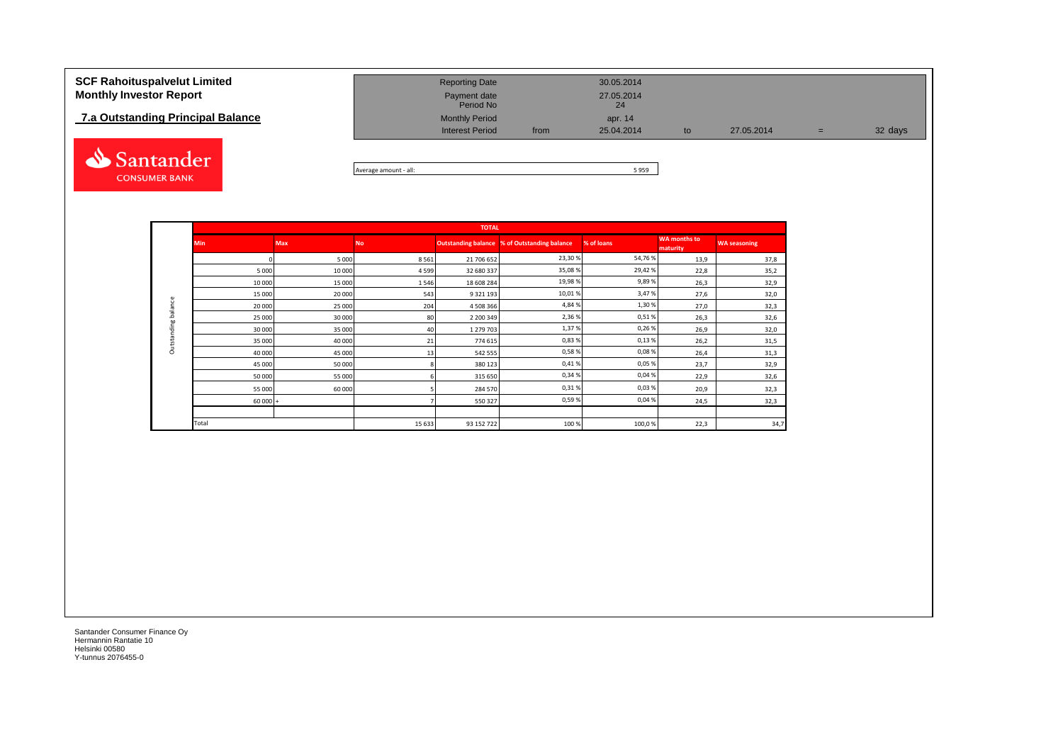## **7.a Outstanding Principal Balance**



| <b>SCF Rahoituspalvelut Limited</b> | <b>Reporting Date</b>     |      | 30.05.2014       |    |            |     |         |
|-------------------------------------|---------------------------|------|------------------|----|------------|-----|---------|
| <b>Monthly Investor Report</b>      | Payment date<br>Period No |      | 27.05.2014<br>24 |    |            |     |         |
| 7.a Outstanding Principal Balance   | <b>Monthly Period</b>     |      | apr. 14          |    |            |     |         |
|                                     | <b>Interest Period</b>    | from | 25.04.2014       | to | 27.05.2014 | $=$ | 32 days |

Average amount - all: 5 959

|                    |            |            |           | <b>TOTAL</b>  |                                              |            |                                 |                     |
|--------------------|------------|------------|-----------|---------------|----------------------------------------------|------------|---------------------------------|---------------------|
|                    | <b>Min</b> | <b>Max</b> | <b>No</b> |               | Outstanding balance % of Outstanding balance | % of loans | <b>WA months to</b><br>maturity | <b>WA seasoning</b> |
|                    |            | 5 0 0 0    | 8561      | 21 706 652    | 23,30%                                       | 54,76%     | 13,9                            | 37,8                |
|                    | 5 0 0 0    | 10 000     | 4599      | 32 680 337    | 35,08%                                       | 29,42%     | 22,8                            | 35,2                |
|                    | 10 000     | 15 000     | 1546      | 18 608 284    | 19,98%                                       | 9,89%      | 26,3                            | 32,9                |
|                    | 15 000     | 20 000     | 543       | 9 3 2 1 1 9 3 | 10,01%                                       | 3,47%      | 27,6                            | 32,0                |
| balance            | 20 000     | 25 000     | 204       | 4 508 366     | 4,84%                                        | 1,30 %     | 27,0                            | 32,3                |
|                    | 25 000     | 30 000     | 80        | 2 200 349     | 2,36%                                        | 0,51%      | 26,3                            | 32,6                |
| <b>Outstanding</b> | 30 000     | 35 000     | 40        | 1 279 703     | 1,37%                                        | 0,26%      | 26,9                            | 32,0                |
|                    | 35 000     | 40 000     | 21        | 774 615       | 0,83%                                        | 0,13%      | 26,2                            | 31,5                |
|                    | 40 000     | 45 000     | 13        | 542 555       | 0,58%                                        | 0,08%      | 26,4                            | 31,3                |
|                    | 45 000     | 50 000     |           | 380 123       | 0,41%                                        | 0,05%      | 23,7                            | 32,9                |
|                    | 50 000     | 55 000     |           | 315 650       | 0,34%                                        | 0,04%      | 22,9                            | 32,6                |
|                    | 55 000     | 60 000     |           | 284 570       | 0,31%                                        | 0,03%      | 20,9                            | 32,3                |
|                    | $60000 +$  |            |           | 550 327       | 0,59%                                        | 0,04%      | 24,5                            | 32,3                |
|                    |            |            |           |               |                                              |            |                                 |                     |
|                    | Total      |            | 15 633    | 93 152 722    | 100 %                                        | 100,0%     | 22,3                            | 34,7                |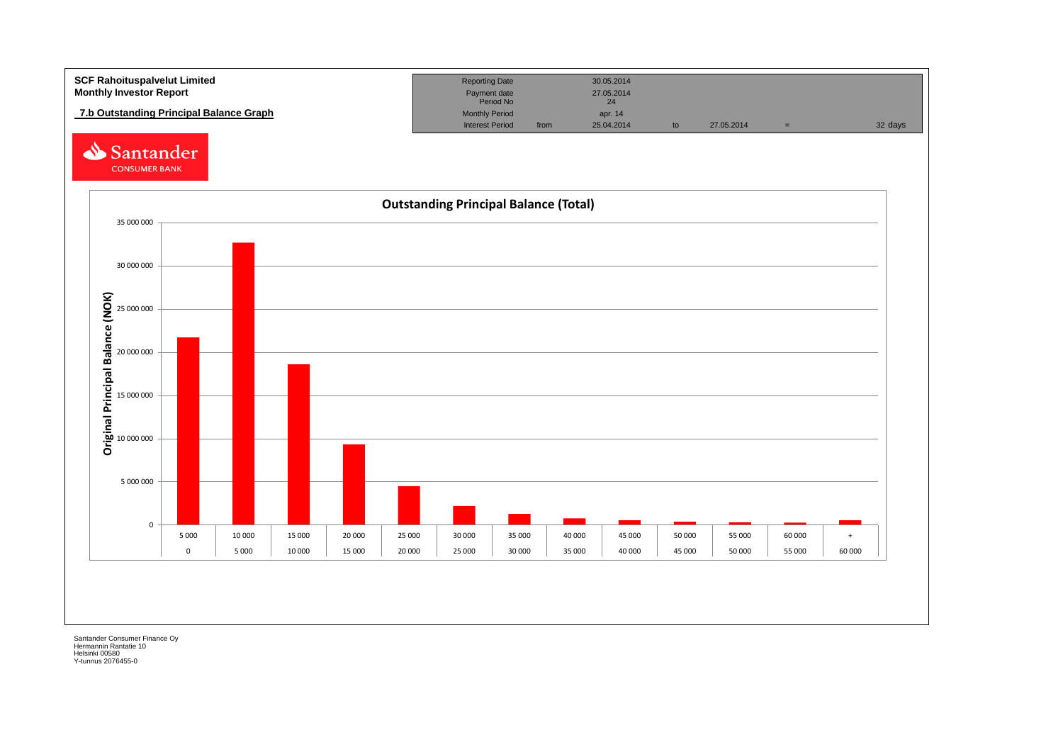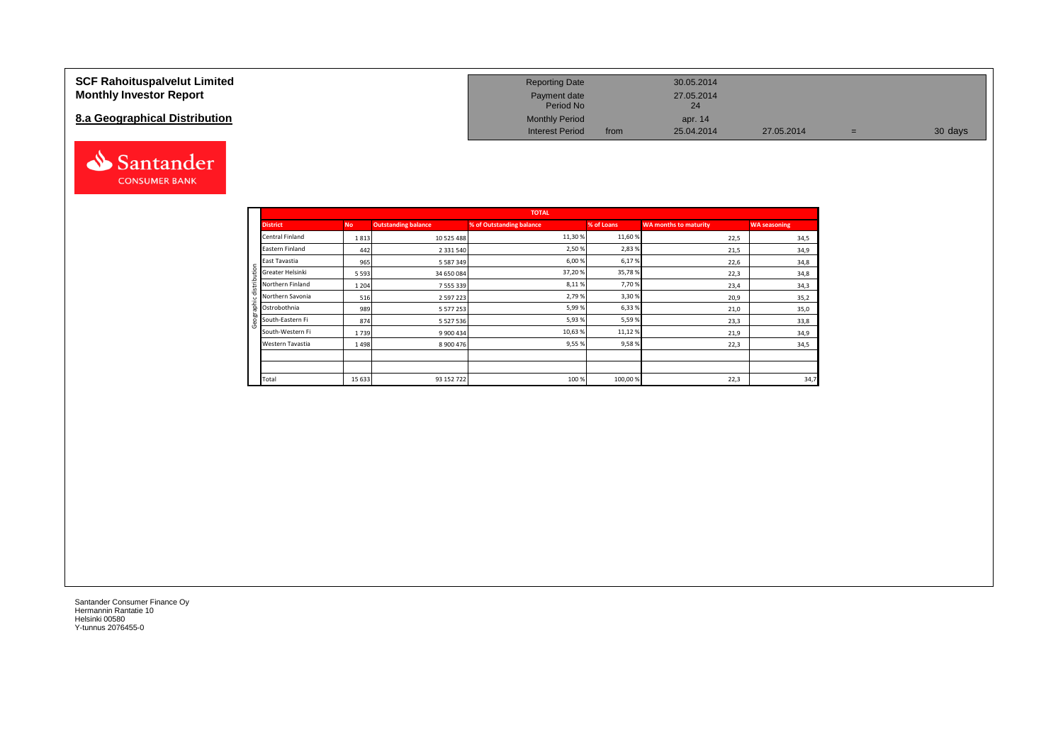### **SCF Rahoituspalvelut Limited Monthly Investor Report**

## **8.a Geographical Distribution**



| <b>Reporting Date</b>     |      | 30.05.2014       |            |   |         |
|---------------------------|------|------------------|------------|---|---------|
| Payment date<br>Period No |      | 27.05.2014<br>24 |            |   |         |
| <b>Monthly Period</b>     |      | apr. 14          |            |   |         |
| <b>Interest Period</b>    | from | 25.04.2014       | 27.05.2014 | = | 30 days |

|   |                  |           |                            | <b>TOTAL</b>             |            |                              |                     |
|---|------------------|-----------|----------------------------|--------------------------|------------|------------------------------|---------------------|
|   | <b>District</b>  | <b>No</b> | <b>Outstanding balance</b> | % of Outstanding balance | % of Loans | <b>WA months to maturity</b> | <b>WA seasoning</b> |
|   | Central Finland  | 1813      | 10 525 488                 | 11,30%                   | 11,60 %    | 22,5                         | 34,5                |
|   | Eastern Finland  | 442       | 2 3 3 1 5 4 0              | 2,50%                    | 2,83%      | 21,5                         | 34,9                |
|   | East Tavastia    | 965       | 5 5 8 7 3 4 9              | 6,00%                    | 6,17%      | 22,6                         | 34,8                |
| ÷ | Greater Helsinki | 5 5 9 3   | 34 650 084                 | 37,20%                   | 35,78%     | 22,3                         | 34,8                |
|   | Northern Finland | 1 2 0 4   | 7 555 339                  | 8,11%                    | 7,70 %     | 23,4                         | 34,3                |
|   | Northern Savonia | 516       | 2 5 9 7 2 2 3              | 2,79%                    | 3,30%      | 20,9                         | 35,2                |
| 효 | Ostrobothnia     | 989       | 5 5 7 7 2 5 3              | 5,99%                    | 6,33%      | 21,0                         | 35,0                |
|   | South-Eastern Fi | 874       | 5 5 2 7 5 3 6              | 5,93%                    | 5,59%      | 23,3                         | 33,8                |
|   | South-Western Fi | 1739      | 9 900 434                  | 10,63%                   | 11,12%     | 21,9                         | 34,9                |
|   | Western Tavastia | 1498      | 8 900 476                  | 9,55%                    | 9,58%      | 22,3                         | 34,5                |
|   |                  |           |                            |                          |            |                              |                     |
|   |                  |           |                            |                          |            |                              |                     |
|   | Total            | 15 6 33   | 93 152 722                 | 100%                     | 100,00%    | 22,3                         | 34,7                |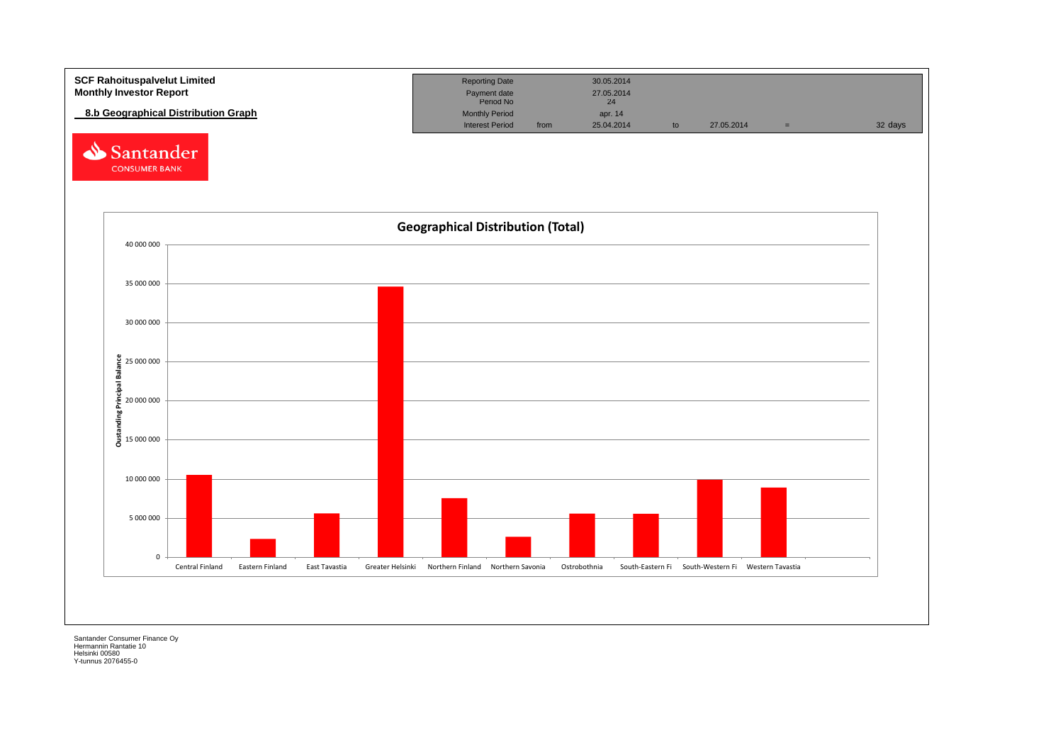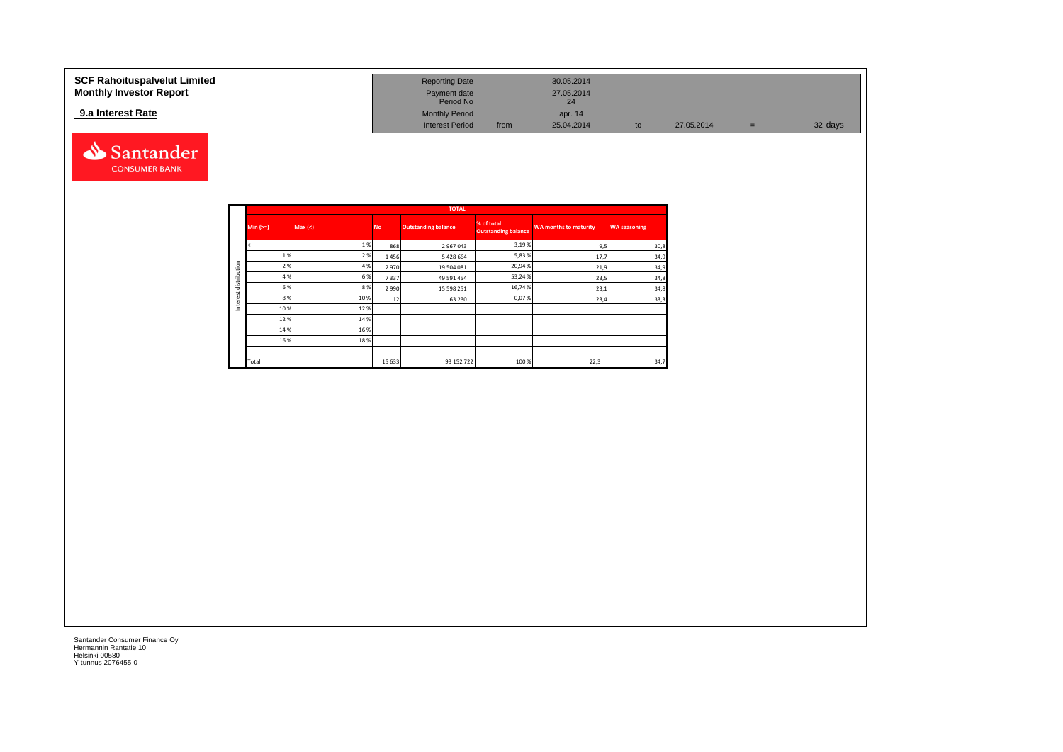| SCF Rahoituspalvelut Limited<br><b>Monthly Investor Report</b> | <b>Reporting Date</b><br>Payment date<br>Period No |      | 30.05.2014<br>27.05.2014<br>$24^{1}$ |            |   |         |
|----------------------------------------------------------------|----------------------------------------------------|------|--------------------------------------|------------|---|---------|
| 9.a Interest Rate                                              | <b>Monthly Period</b><br><b>Interest Period</b>    | from | apr. 14<br>25.04.2014                | 27.05.2014 | = | 32 days |



|              |            |         |           | <b>TOTAL</b>               |                                          |                              |                     |
|--------------|------------|---------|-----------|----------------------------|------------------------------------------|------------------------------|---------------------|
|              | $Min (==)$ | Max (<) | <b>No</b> | <b>Outstanding balance</b> | % of total<br><b>Outstanding balance</b> | <b>WA months to maturity</b> | <b>WA seasoning</b> |
|              |            | 1%      | 868       | 2 967 043                  | 3,19%                                    | 9,5                          | 30,8                |
|              | 1%         | 2 %     | 1456      | 5 428 664                  | 5,83%                                    | 17,7                         | 34,9                |
| distribution | 2 %        | 4 %     | 2970      | 19 504 081                 | 20,94%                                   | 21,9                         | 34,9                |
|              | 4 %        | 6 %     | 7337      | 49 591 454                 | 53,24%                                   | 23,5                         | 34,8                |
|              | 6 %        | 8 %     | 2 9 9 0   | 15 598 251                 | 16,74 %                                  | 23,1                         | 34,8                |
|              | 8%         | 10%     | 12        | 63 230                     | 0,07%                                    | 23,4                         | 33,3                |
| Interest     | 10%        | 12%     |           |                            |                                          |                              |                     |
|              | 12%        | 14 %    |           |                            |                                          |                              |                     |
|              | 14 %       | 16%     |           |                            |                                          |                              |                     |
|              | 16%        | 18%     |           |                            |                                          |                              |                     |
|              |            |         |           |                            |                                          |                              |                     |
|              | Total      |         | 15 6 33   | 93 152 722                 | 100 %                                    | 22,3                         | 34,7                |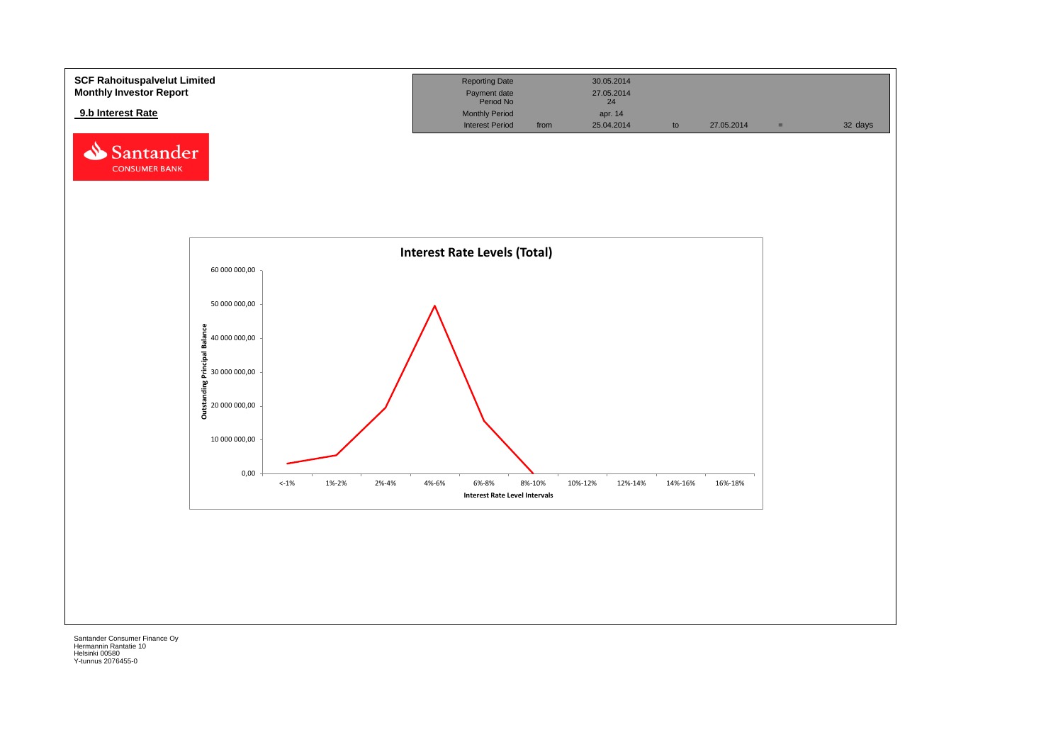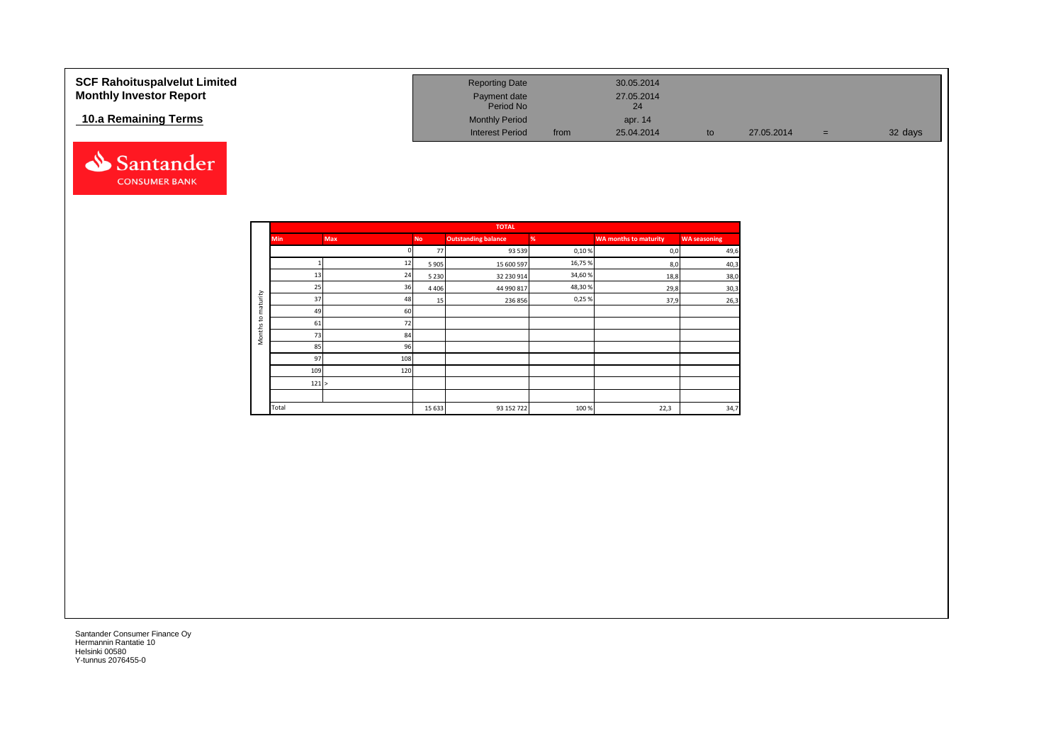| <b>SCF Rahoituspalvelut Limited</b><br><b>Monthly Investor Report</b> | <b>Reporting Date</b><br>Payment date<br>Period No |      | 30.05.2014<br>27.05.2014<br>24 |    |            |     |         |
|-----------------------------------------------------------------------|----------------------------------------------------|------|--------------------------------|----|------------|-----|---------|
| 10.a Remaining Terms                                                  | <b>Monthly Period</b><br><b>Interest Period</b>    | from | apr. 14<br>25.04.2014          | to | 27.05.2014 | $=$ | 32 days |



|                    |            |            |           | <b>TOTAL</b>               |        |                              |                     |
|--------------------|------------|------------|-----------|----------------------------|--------|------------------------------|---------------------|
|                    | <b>Min</b> | <b>Max</b> | <b>No</b> | <b>Outstanding balance</b> | %      | <b>WA months to maturity</b> | <b>WA seasoning</b> |
|                    |            |            | 77        | 93 539                     | 0,10%  | 0,0                          | 49,6                |
|                    |            | 12         | 5 9 0 5   | 15 600 597                 | 16,75% | 8,0                          | 40,3                |
|                    | 13         | 24         | 5 2 3 0   | 32 230 914                 | 34,60% | 18,8                         | 38,0                |
|                    | 25         | 36         | 4 4 0 6   | 44 990 817                 | 48,30% | 29,8                         | 30,3                |
| maturity           | 37         | 48         | 15        | 236 856                    | 0,25%  | 37,9                         | 26,3                |
|                    | 49         | 60         |           |                            |        |                              |                     |
| $\mathbf{c}$       | 61         | 72         |           |                            |        |                              |                     |
| Month <sub>s</sub> | 73         | 84         |           |                            |        |                              |                     |
|                    | 85         | 96         |           |                            |        |                              |                     |
|                    | 97         | 108        |           |                            |        |                              |                     |
|                    | 109        | 120        |           |                            |        |                              |                     |
|                    | 121 >      |            |           |                            |        |                              |                     |
|                    |            |            |           |                            |        |                              |                     |
|                    | Total      |            | 15 6 33   | 93 152 722                 | 100%   | 22,3                         | 34,7                |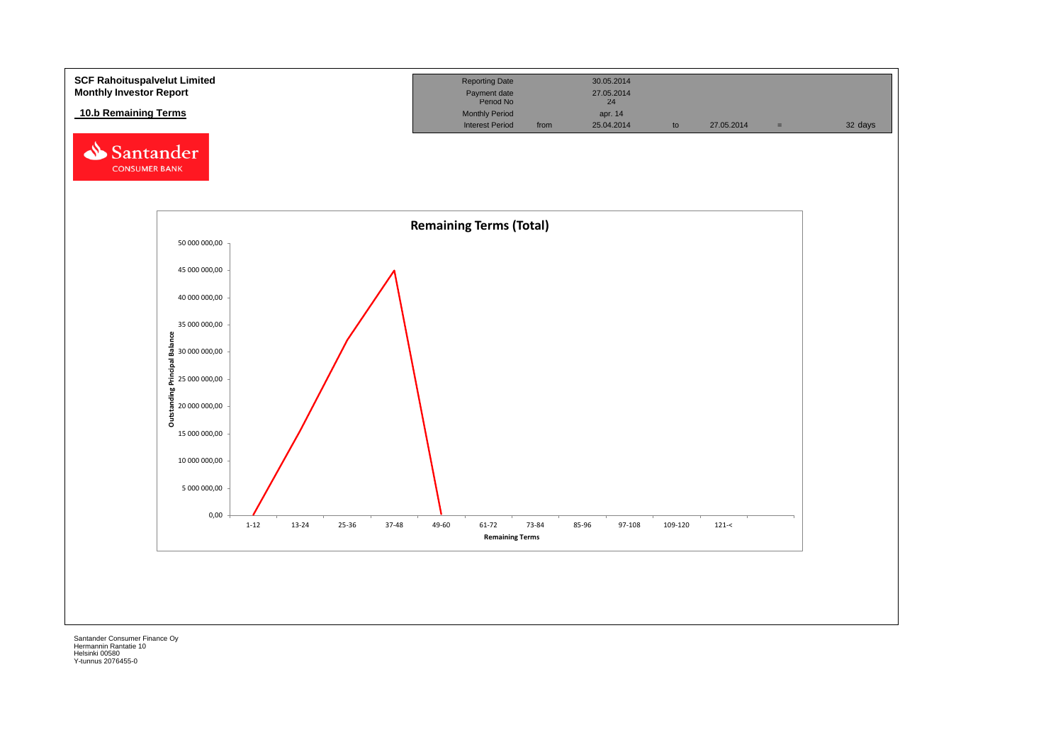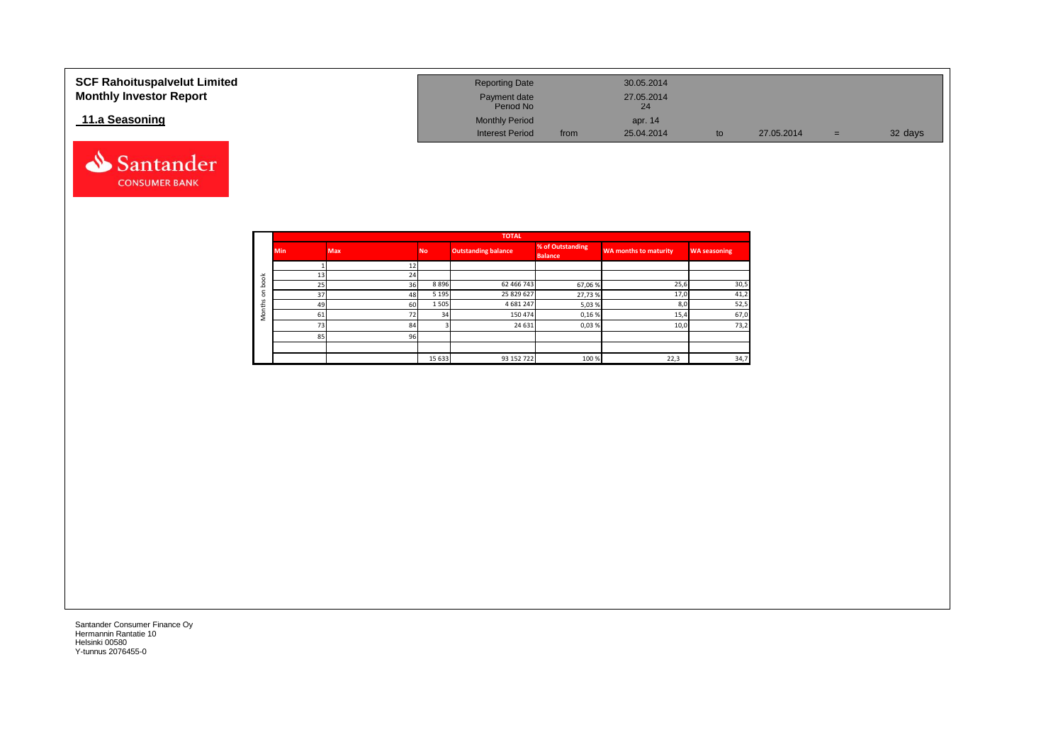| <b>SCF Rahoituspalvelut Limited</b><br><b>Monthly Investor Report</b> | <b>Reporting Date</b><br>Payment date<br>Period No |      | 30.05.2014<br>27.05.2014<br>24 |    |            |     |         |
|-----------------------------------------------------------------------|----------------------------------------------------|------|--------------------------------|----|------------|-----|---------|
| 11.a Seasoning                                                        | <b>Monthly Period</b><br><b>Interest Period</b>    | from | apr. 14<br>25.04.2014          | to | 27.05.2014 | $=$ | 32 days |



Santander **CONSUMER BANK**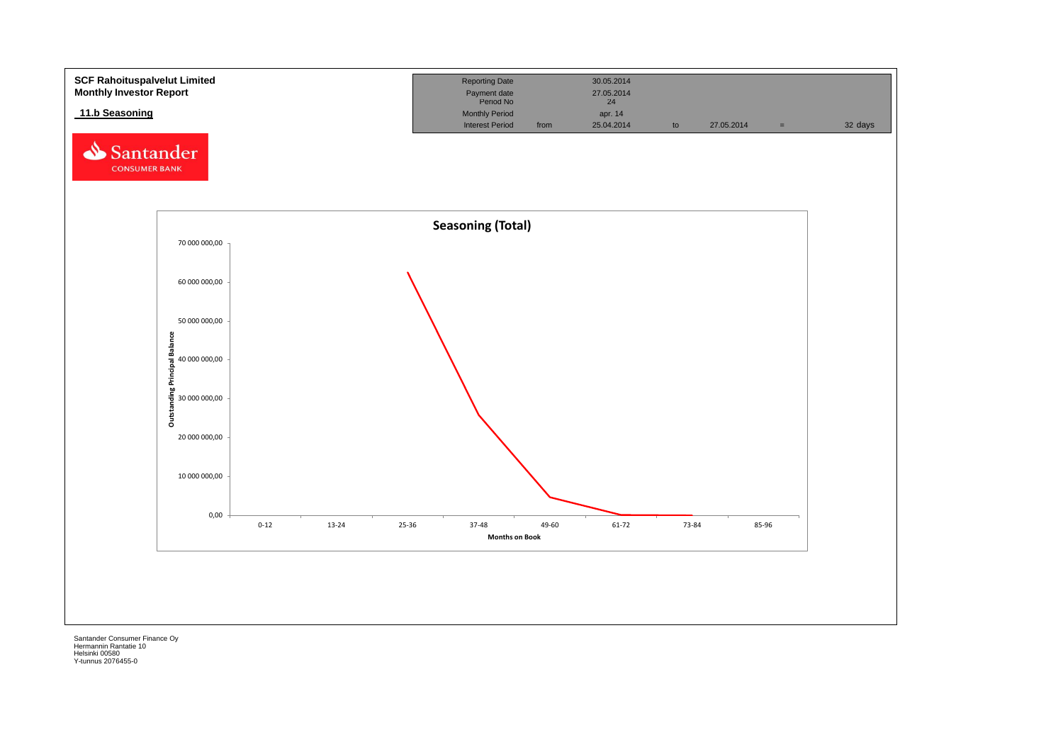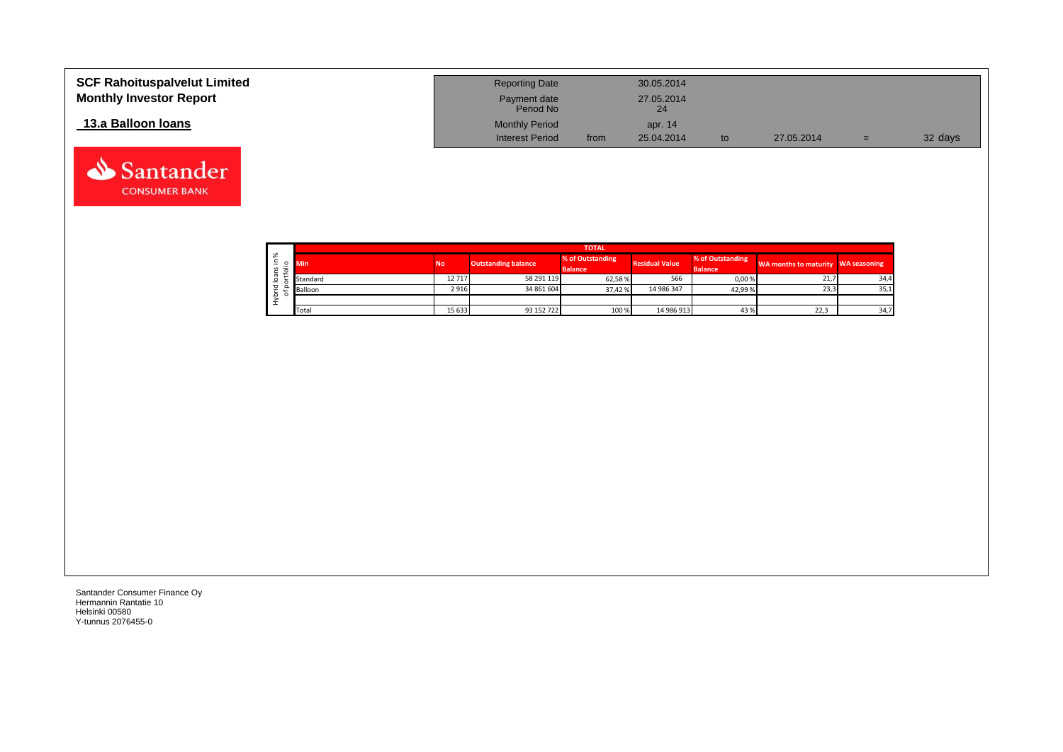| <b>SCF Rahoituspalvelut Limited</b><br><b>Monthly Investor Report</b> | <b>Reporting Date</b><br>Payment date<br>Period No |      | 30.05.2014<br>27.05.2014<br>24 |    |            |     |         |
|-----------------------------------------------------------------------|----------------------------------------------------|------|--------------------------------|----|------------|-----|---------|
| 13.a Balloon Ioans                                                    | <b>Monthly Period</b><br><b>Interest Period</b>    | from | apr. 14<br>25.04.2014          | to | 27.05.2014 | $=$ | 32 days |

|         |          |           |                            | <b>TOTAL</b>     |                       |                  |                                    |      |
|---------|----------|-----------|----------------------------|------------------|-----------------------|------------------|------------------------------------|------|
| ్య<br>۰ | Min      | <b>No</b> | <b>Outstanding balance</b> | % of Outstanding | <b>Residual Value</b> | % of Outstanding | WA months to maturity WA seasoning |      |
|         |          |           |                            | <b>Balance</b>   |                       | <b>Balance</b>   |                                    |      |
|         | Standard | 12717     | 58 291 119                 | 62,58%           | 566                   | 0,00%            | 21,7                               | 34,4 |
|         | Balloon  | 2916      | 34 861 604                 | 37.42%           | 14 986 347            | 42,99%           | 23,3                               | 35,1 |
|         |          |           |                            |                  |                       |                  |                                    |      |
|         | Total    | 15 633    | 93 152 722                 | 100 %            | 14 986 913            | 43%              | 22,3                               | 34,7 |

Santander **CONSUMER BANK**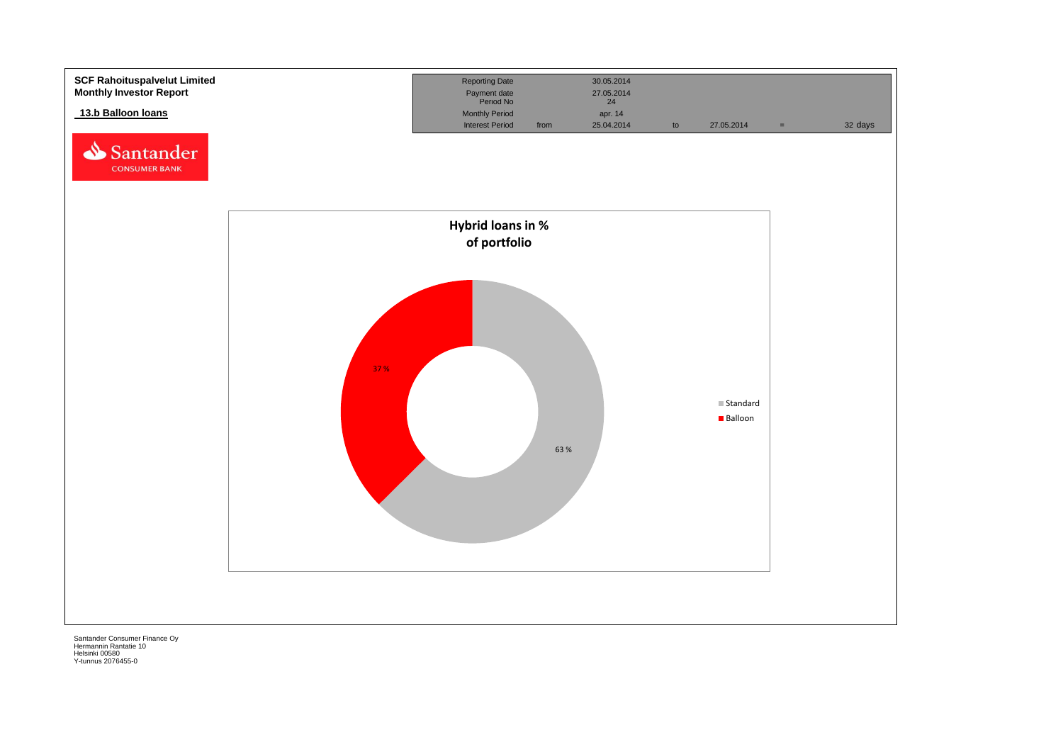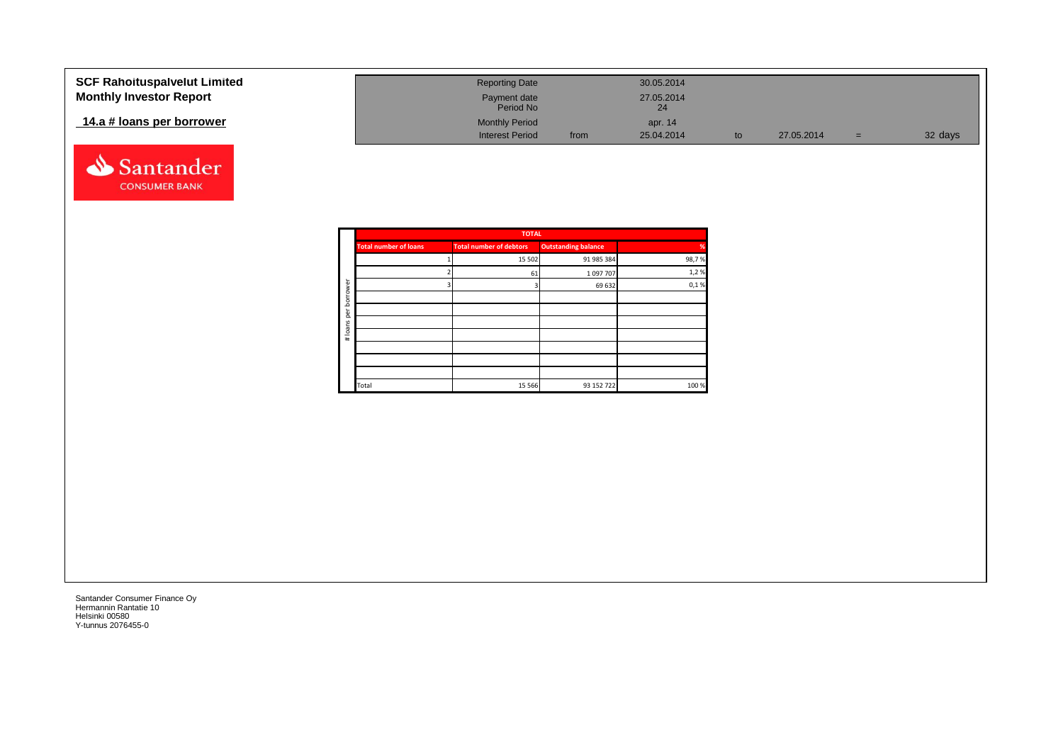| <b>SCF Rahoituspalvelut Limited</b> | <b>Reporting Date</b>                           |      | 30.05.2014            |            |     |         |
|-------------------------------------|-------------------------------------------------|------|-----------------------|------------|-----|---------|
| <b>Monthly Investor Report</b>      | Payment date<br>Period No                       |      | 27.05.2014<br>24      |            |     |         |
| 14.a # loans per borrower           | <b>Monthly Period</b><br><b>Interest Period</b> | from | apr. 14<br>25.04.2014 | 27.05.2014 | $=$ | 32 days |
|                                     |                                                 |      |                       |            |     |         |



|                                | <b>TOTAL</b> |                            |       |
|--------------------------------|--------------|----------------------------|-------|
| <b>Total number of debtors</b> |              | <b>Outstanding balance</b> | %     |
|                                | 15 502       | 91 985 384                 | 98,7% |
|                                | 61           | 1097707                    | 1,2%  |
|                                |              | 69 632                     | 0,1%  |
|                                |              |                            |       |
|                                |              |                            |       |
|                                |              |                            |       |
|                                |              |                            |       |
|                                |              |                            |       |
|                                |              |                            |       |
|                                |              |                            |       |
|                                | 15 5 66      | 93 152 722                 | 100 % |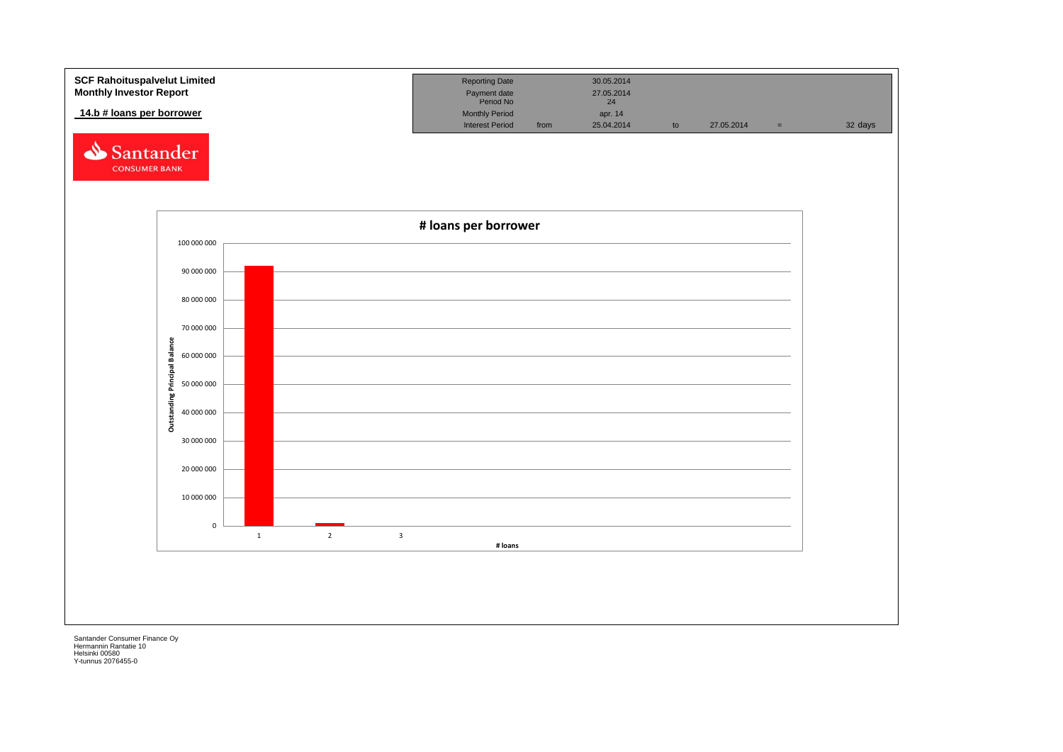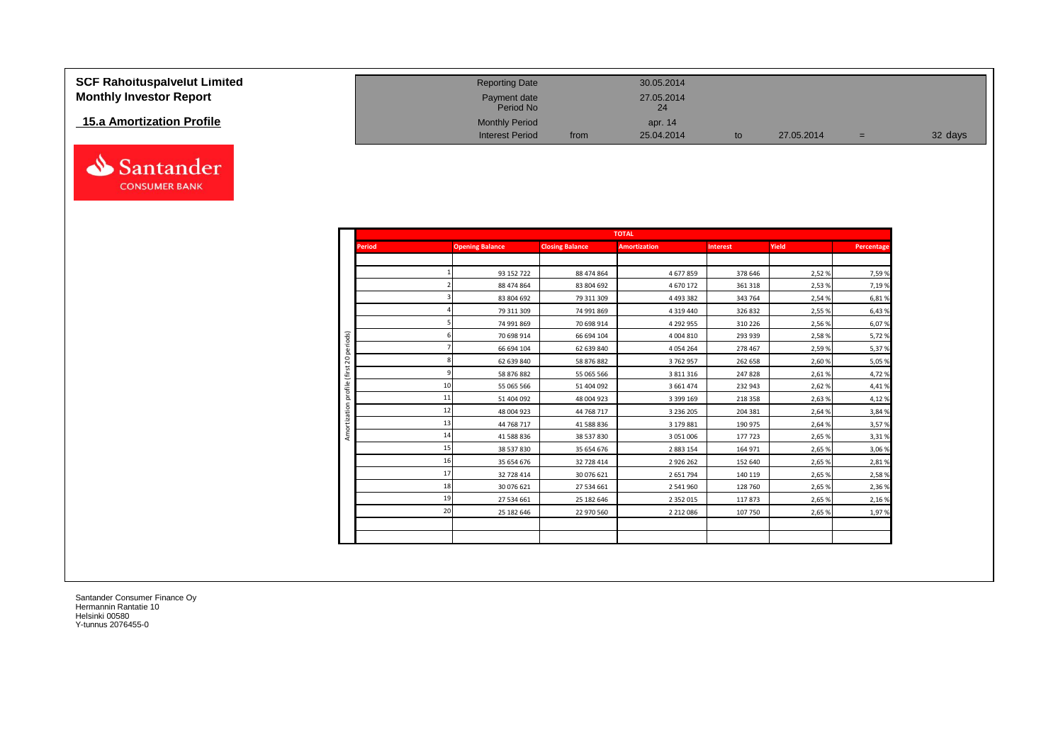| <b>SCF Rahoituspalvelut Limited</b> | <b>Reporting Date</b>     |      | 30.05.2014       |    |            |     |         |
|-------------------------------------|---------------------------|------|------------------|----|------------|-----|---------|
| <b>Monthly Investor Report</b>      | Payment date<br>Period No |      | 27.05.2014<br>24 |    |            |     |         |
| 15.a Amortization Profile           | <b>Monthly Period</b>     |      | apr. 14          |    |            |     |         |
|                                     | <b>Interest Period</b>    | from | 25.04.2014       | to | 27.05.2014 | $=$ | 32 days |



|                 | <b>TOTAL</b>           |                        |                     |                 |        |            |  |  |
|-----------------|------------------------|------------------------|---------------------|-----------------|--------|------------|--|--|
| <b>Period</b>   | <b>Opening Balance</b> | <b>Closing Balance</b> | <b>Amortization</b> | <b>Interest</b> | Yield  | Percentage |  |  |
|                 |                        |                        |                     |                 |        |            |  |  |
|                 | 93 152 722             | 88 474 864             | 4677859             | 378 646         | 2,52%  | 7,59%      |  |  |
|                 | 88 474 864             | 83 804 692             | 4 670 172           | 361 318         | 2,53%  | 7,19%      |  |  |
|                 | 83 804 692             | 79 311 309             | 4 4 9 3 3 8 2       | 343 764         | 2,54%  | 6,81%      |  |  |
|                 | 79 311 309             | 74 991 869             | 4 3 1 9 4 4 0       | 326 832         | 2,55 % | 6,43%      |  |  |
|                 | 74 991 869             | 70 698 914             | 4 292 955           | 310 226         | 2,56%  | 6,07%      |  |  |
|                 | 70 698 914             | 66 694 104             | 4 004 810           | 293 939         | 2,58%  | 5,72 %     |  |  |
|                 | 66 694 104             | 62 639 840             | 4 0 5 4 2 6 4       | 278 467         | 2,59%  | 5,37%      |  |  |
|                 | 62 639 840             | 58 876 882             | 3762957             | 262 658         | 2,60%  | 5,05 %     |  |  |
|                 | 58 876 882             | 55 065 566             | 3 811 316           | 247828          | 2,61%  | 4,72%      |  |  |
| 10 <sup>1</sup> | 55 065 566             | 51 404 092             | 3 661 474           | 232 943         | 2,62%  | 4,41%      |  |  |
| 11              | 51 404 092             | 48 004 923             | 3 399 169           | 218 358         | 2,63%  | 4,12%      |  |  |
| 12              | 48 004 923             | 44 768 717             | 3 2 3 6 2 0 5       | 204 381         | 2,64%  | 3,84 %     |  |  |
| 13              | 44 768 717             | 41 588 836             | 3 179 881           | 190 975         | 2,64%  | 3,57%      |  |  |
| 14              | 41 588 836             | 38 537 830             | 3 0 5 1 0 0 6       | 177 723         | 2,65 % | 3,31%      |  |  |
| 15              | 38 537 830             | 35 654 676             | 2 883 154           | 164 971         | 2,65 % | 3,06 %     |  |  |
| 16              | 35 654 676             | 32 728 414             | 2 9 2 6 2 6 2       | 152 640         | 2,65 % | 2,81%      |  |  |
| 17              | 32 728 414             | 30 076 621             | 2 651 794           | 140 119         | 2,65 % | 2,58%      |  |  |
| 18              | 30 076 621             | 27 534 661             | 2 541 960           | 128 760         | 2,65 % | 2,36 %     |  |  |
| 19              | 27 534 661             | 25 182 646             | 2 3 5 2 0 1 5       | 117873          | 2,65 % | 2,16 %     |  |  |
| 20              | 25 182 646             | 22 970 560             | 2 2 1 2 0 8 6       | 107 750         | 2,65 % | 1,97%      |  |  |
|                 |                        |                        |                     |                 |        |            |  |  |
|                 |                        |                        |                     |                 |        |            |  |  |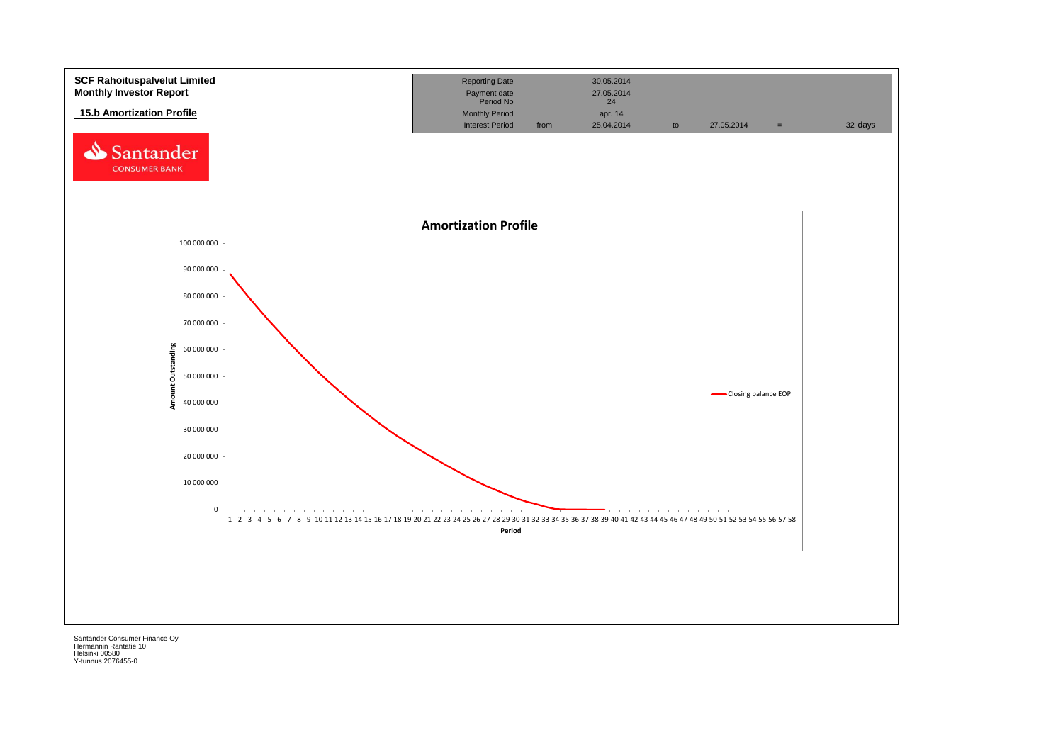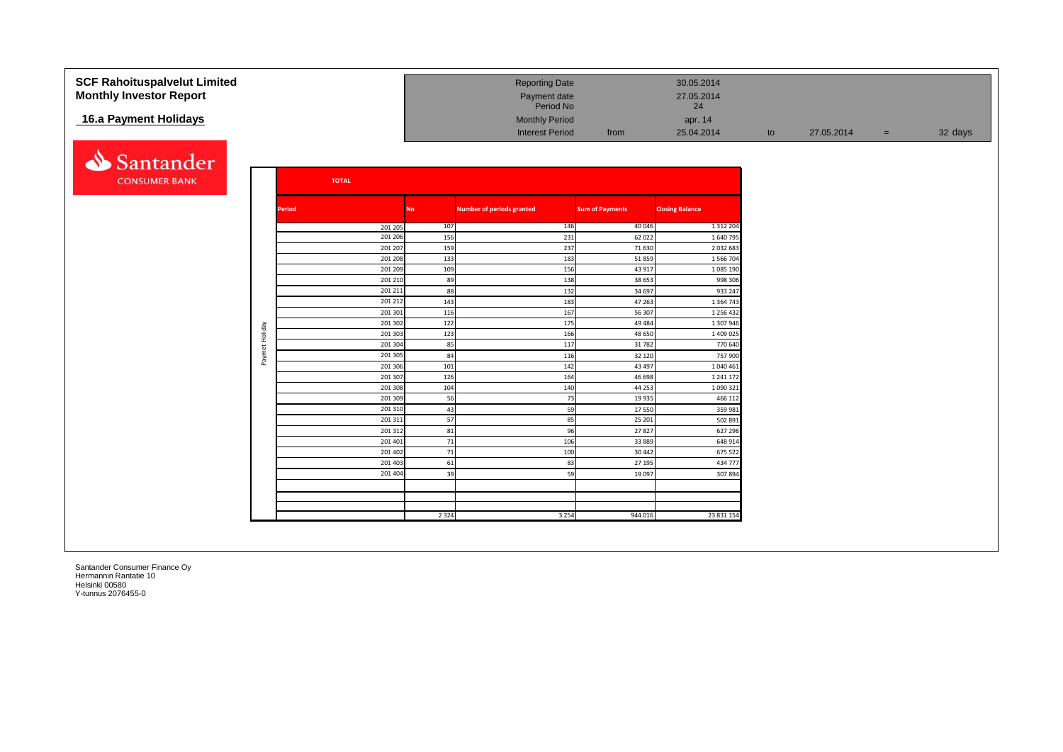| <b>SCF Rahoituspalvelut Limited</b> |                |               |                    |            | <b>Reporting Date</b>            |                        | 30.05.2014               |    |            |     |         |
|-------------------------------------|----------------|---------------|--------------------|------------|----------------------------------|------------------------|--------------------------|----|------------|-----|---------|
| <b>Monthly Investor Report</b>      |                |               |                    |            | Payment date<br>Period No        |                        | 27.05.2014<br>24         |    |            |     |         |
| 16.a Payment Holidays               |                |               |                    |            | <b>Monthly Period</b>            |                        |                          |    |            |     |         |
|                                     |                |               |                    |            |                                  |                        | apr. 14                  |    |            |     |         |
|                                     |                |               |                    |            | <b>Interest Period</b>           | from                   | 25.04.2014               | to | 27.05.2014 | $=$ | 32 days |
| Santander                           |                |               |                    |            |                                  |                        |                          |    |            |     |         |
| <b>CONSUMER BANK</b>                |                |               | <b>TOTAL</b>       |            |                                  |                        |                          |    |            |     |         |
|                                     |                |               |                    |            |                                  |                        |                          |    |            |     |         |
|                                     |                | <b>Period</b> |                    | <b>No</b>  | <b>Number of periods granted</b> | <b>Sum of Payments</b> | <b>Closing Balance</b>   |    |            |     |         |
|                                     |                |               | 201 205            | 107        | 146                              | 40 046                 | 1 3 1 2 2 0 4            |    |            |     |         |
|                                     |                |               | 201 206            | 156        | 231                              | 62 022                 | 1 640 79                 |    |            |     |         |
|                                     |                |               | 201 207            | 159        | 237                              | 71 630                 | 2 0 3 2 6 8 3            |    |            |     |         |
|                                     |                |               | 201 208            | 133        | 183                              | 51859                  | 1 566 704                |    |            |     |         |
|                                     |                |               | 201 209            | 109        | 156                              | 43 917                 | 1 085 190                |    |            |     |         |
|                                     |                |               | 201 210            |            | 89<br>138                        | 38 653                 | 998 306                  |    |            |     |         |
|                                     |                |               | 201 211            |            | 88<br>132                        | 34 697                 | 933 247                  |    |            |     |         |
|                                     |                |               | 201 212<br>201 301 | 143<br>116 | 183<br>167                       | 47 263<br>56 307       | 1 3 6 4 7 4<br>1 256 432 |    |            |     |         |
|                                     |                |               | 201 302            |            | 122<br>175                       | 49 4 84                | 1 307 946                |    |            |     |         |
|                                     |                |               | 201 303            | 123        | 166                              | 48 650                 | 1 409 025                |    |            |     |         |
|                                     | Paymet Holiday |               | 201 304            |            | 85<br>117                        | 31782                  | 770 640                  |    |            |     |         |
|                                     |                |               | 201 305            |            | 84<br>116                        | 32 120                 | 757 900                  |    |            |     |         |
|                                     |                |               | 201 306            | 101        | 142                              | 43 497                 | 1 040 461                |    |            |     |         |
|                                     |                |               | 201 307            | 126        | 164                              | 46 698                 | 1 241 17                 |    |            |     |         |
|                                     |                |               | 201 308            | 104        | 140                              | 44 253                 | 1 090 321                |    |            |     |         |
|                                     |                |               | 201 309            |            | 56<br>73                         | 19 9 35                | 466 112                  |    |            |     |         |
|                                     |                |               | 201 310            |            | 59<br>43                         | 17550                  | 359 981                  |    |            |     |         |
|                                     |                |               | 201 311            |            | 57<br>85                         | 25 201                 | 502 891                  |    |            |     |         |
|                                     |                |               | 201 312            |            | 81<br>96                         | 27827                  | 627 296                  |    |            |     |         |
|                                     |                |               | 201 401            |            | 71<br>106                        | 33 889                 | 648 914                  |    |            |     |         |
|                                     |                |               | 201 402            |            | 71<br>100                        | 30 442                 | 675 522                  |    |            |     |         |
|                                     |                |               | 201 403            |            | 61<br>83                         | 27 195                 | 434 777                  |    |            |     |         |
|                                     |                |               | 201 404            |            | 39<br>59                         | 19 097                 | 307894                   |    |            |     |         |
|                                     |                |               |                    |            |                                  |                        |                          |    |            |     |         |
|                                     |                |               |                    |            |                                  |                        |                          |    |            |     |         |
|                                     |                |               |                    | 2 3 2 4    | 3 2 5 4                          | 944 016                | 23 831 154               |    |            |     |         |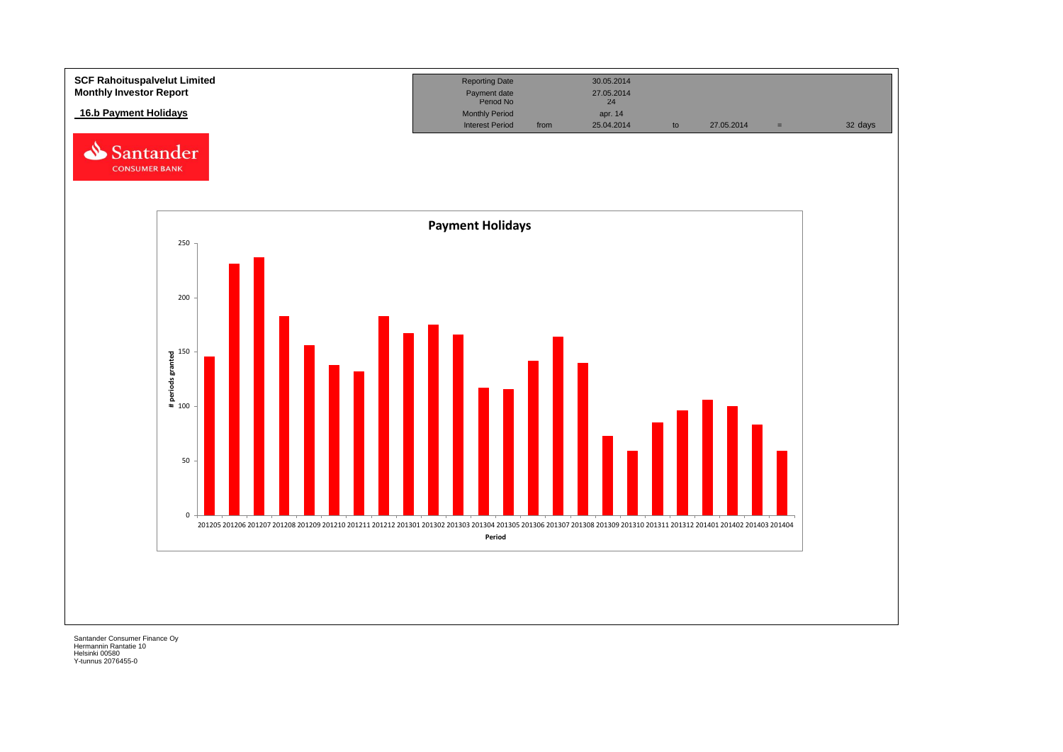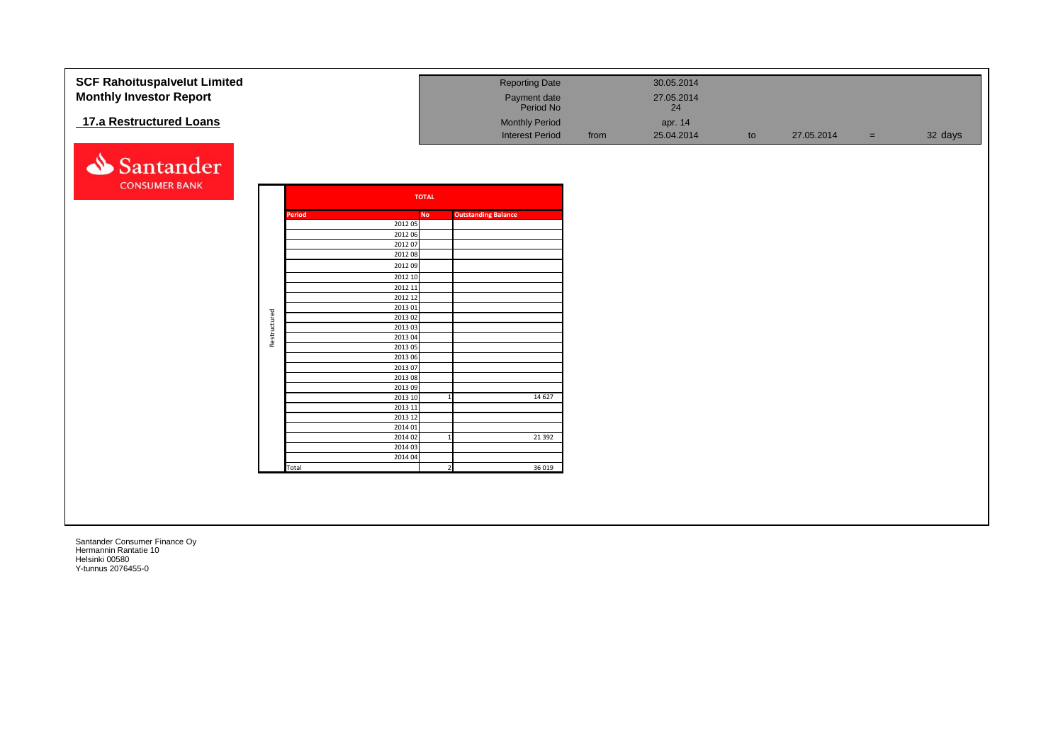| <b>SCF Rahoituspalvelut Limited</b><br><b>Monthly Investor Report</b> |              |        |                    |                | <b>Reporting Date</b><br>Payment date<br>Period No |      | 30.05.2014<br>27.05.2014<br>24 |    |            |     |         |
|-----------------------------------------------------------------------|--------------|--------|--------------------|----------------|----------------------------------------------------|------|--------------------------------|----|------------|-----|---------|
| 17.a Restructured Loans                                               |              |        |                    |                | <b>Monthly Period</b><br><b>Interest Period</b>    | from | apr. 14<br>25.04.2014          | to | 27.05.2014 | $=$ | 32 days |
| Santander                                                             |              |        |                    |                |                                                    |      |                                |    |            |     |         |
| <b>CONSUMER BANK</b>                                                  |              |        | <b>TOTAL</b>       |                |                                                    |      |                                |    |            |     |         |
|                                                                       |              | Period | No                 |                | <b>Outstanding Balance</b>                         |      |                                |    |            |     |         |
|                                                                       |              |        | 2012 05            |                |                                                    |      |                                |    |            |     |         |
|                                                                       |              |        | 2012 06<br>2012 07 |                |                                                    |      |                                |    |            |     |         |
|                                                                       |              |        | 2012 08            |                |                                                    |      |                                |    |            |     |         |
|                                                                       |              |        | 2012 09            |                |                                                    |      |                                |    |            |     |         |
|                                                                       |              |        | 2012 10            |                |                                                    |      |                                |    |            |     |         |
|                                                                       |              |        | 2012 11            |                |                                                    |      |                                |    |            |     |         |
|                                                                       |              |        | 2012 12            |                |                                                    |      |                                |    |            |     |         |
|                                                                       |              |        | 2013 01<br>201302  |                |                                                    |      |                                |    |            |     |         |
|                                                                       |              |        | 2013 03            |                |                                                    |      |                                |    |            |     |         |
|                                                                       | Restructured |        | 2013 04            |                |                                                    |      |                                |    |            |     |         |
|                                                                       |              |        | 2013 05            |                |                                                    |      |                                |    |            |     |         |
|                                                                       |              |        | 2013 06            |                |                                                    |      |                                |    |            |     |         |
|                                                                       |              |        | 2013 07<br>2013 08 |                |                                                    |      |                                |    |            |     |         |
|                                                                       |              |        | 2013 09            |                |                                                    |      |                                |    |            |     |         |
|                                                                       |              |        | 2013 10            |                | 14 6 27                                            |      |                                |    |            |     |         |
|                                                                       |              |        | 2013 11            |                |                                                    |      |                                |    |            |     |         |
|                                                                       |              |        | 2013 12<br>2014 01 |                |                                                    |      |                                |    |            |     |         |
|                                                                       |              |        | 2014 02            |                | 21 3 92                                            |      |                                |    |            |     |         |
|                                                                       |              |        | 2014 03            |                |                                                    |      |                                |    |            |     |         |
|                                                                       |              |        | 2014 04            |                |                                                    |      |                                |    |            |     |         |
|                                                                       |              | Total  |                    | $\overline{2}$ | 36 0 19                                            |      |                                |    |            |     |         |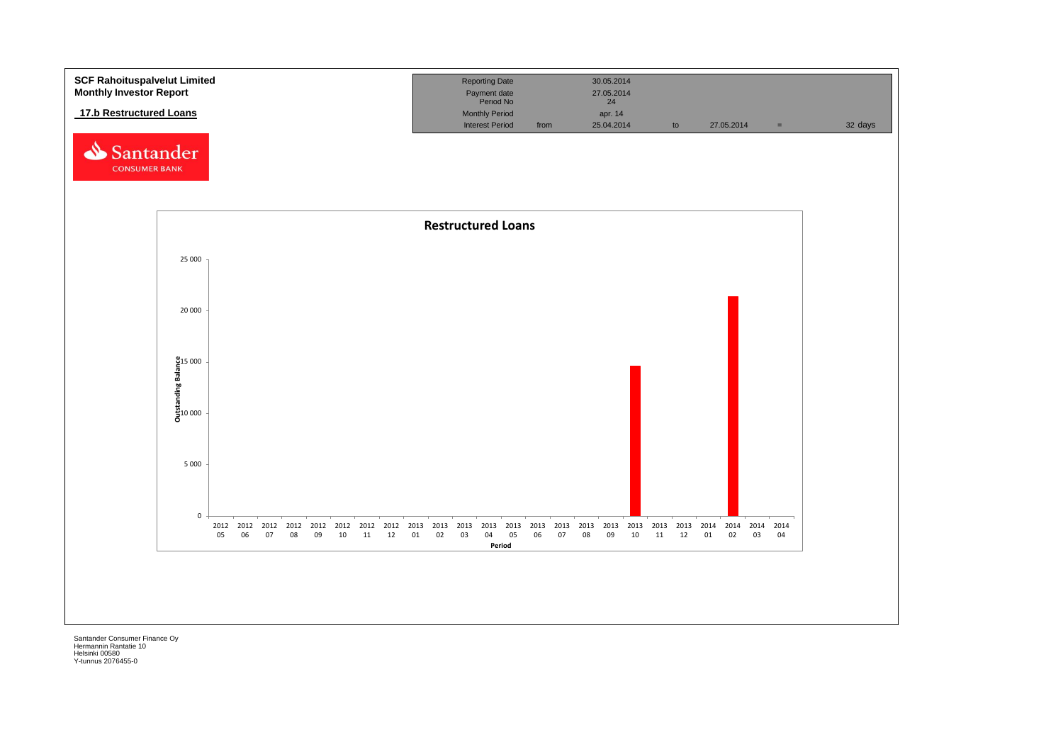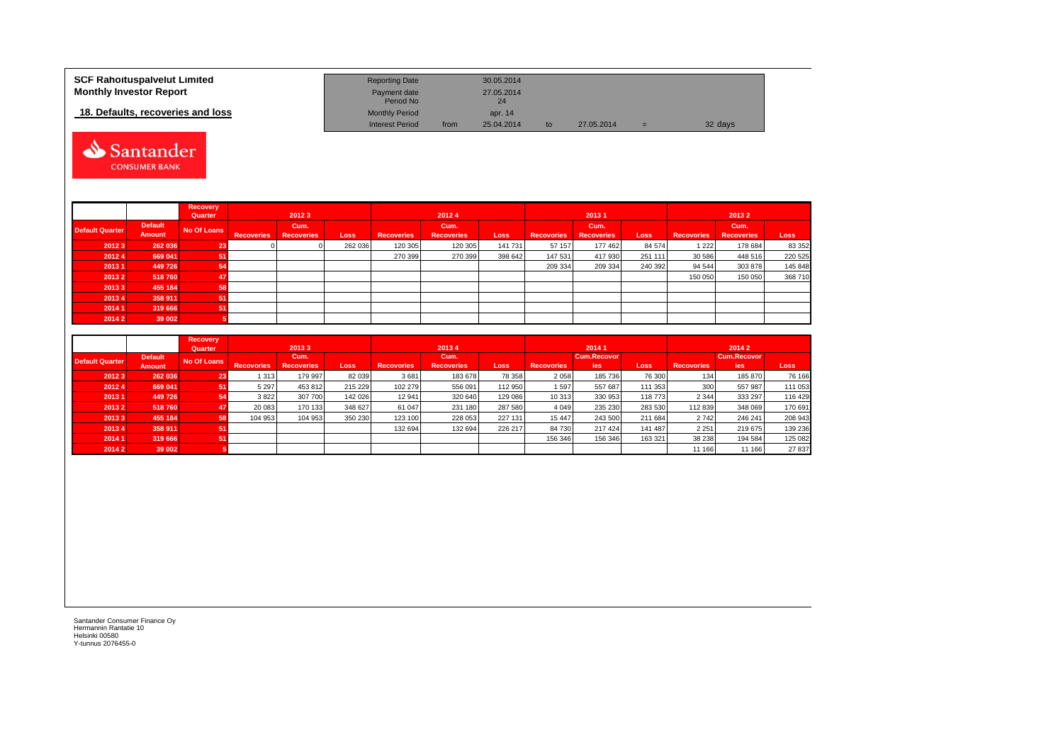| <b>SCF Rahoituspalvelut Limited</b> | <b>Reporting Date</b>     |      | 30.05.2014       |    |            |     |         |
|-------------------------------------|---------------------------|------|------------------|----|------------|-----|---------|
| <b>Monthly Investor Report</b>      | Payment date<br>Period No |      | 27.05.2014<br>24 |    |            |     |         |
| 18. Defaults, recoveries and loss   | <b>Monthly Period</b>     |      | apr. 14          |    |            |     |         |
|                                     | <b>Interest Period</b>    | from | 25.04.2014       | to | 27.05.2014 | $=$ | 32 days |



|                        |                          | Recovery<br>Quarter |                   | 20123                     |             |                   | 20124                     |         |                   | 20131                     |         |            | 20132                     |         |
|------------------------|--------------------------|---------------------|-------------------|---------------------------|-------------|-------------------|---------------------------|---------|-------------------|---------------------------|---------|------------|---------------------------|---------|
| <b>Default Quarter</b> | <b>Default</b><br>Amount | No Of Loans         | <b>Recoveries</b> | Cum.<br><b>Recoveries</b> | <b>Loss</b> | <b>Recoveries</b> | Cum.<br><b>Recoveries</b> | Loss    | <b>Recovories</b> | Cum.<br><b>Recoveries</b> | Loss    | Recovories | Cum.<br><b>Recoveries</b> | Loss    |
| 20123                  | 262 036                  | 23                  |                   |                           | 262 036     | 120 305           | 120 305                   | 141 731 | 57 157            | 177 462                   | 84 574  | 1 2 2 2    | 178 684                   | 83 352  |
| 20124                  | 669 041                  |                     |                   |                           |             | 270 399           | 270 399                   | 398 642 | 147 531           | 417 930                   | 251 111 | 30 586     | 448 516                   | 220 525 |
| 20131                  | 449726                   |                     |                   |                           |             |                   |                           |         | 209 334           | 209 334                   | 240 392 | 94 544     | 303 878                   | 145 848 |
| 20132                  | 518760                   |                     |                   |                           |             |                   |                           |         |                   |                           |         | 150 050    | 150 050                   | 368 710 |
| 20133                  | 455 184                  |                     |                   |                           |             |                   |                           |         |                   |                           |         |            |                           |         |
| 20134                  | 358 911                  |                     |                   |                           |             |                   |                           |         |                   |                           |         |            |                           |         |
| 2014 1                 | 319 666                  |                     |                   |                           |             |                   |                           |         |                   |                           |         |            |                           |         |
| 2014 2                 | 39 002                   |                     |                   |                           |             |                   |                           |         |                   |                           |         |            |                           |         |

|                        |                | <b>Recovery</b><br>Quarter |                   | 20133             |         |                   | 20134             |             |                   | 20141              |         |                   | 2014 2             |         |
|------------------------|----------------|----------------------------|-------------------|-------------------|---------|-------------------|-------------------|-------------|-------------------|--------------------|---------|-------------------|--------------------|---------|
| <b>Default Quarter</b> | <b>Default</b> | No Of Loans                |                   | Cum.              |         |                   | Cum.              |             |                   | <b>Cum.Recovor</b> |         |                   | <b>Cum.Recovor</b> |         |
|                        | <b>Amount</b>  |                            | <b>Recovories</b> | <b>Recoveries</b> | Loss    | <b>Recovories</b> | <b>Recoveries</b> | <b>Loss</b> | <b>Recovories</b> | <b>ies</b>         | Loss    | <b>Recovories</b> | ies                | Loss    |
| 20123                  | 262 036        | 23                         | 1 313             | 179 997           | 82 039  | 3681              | 183 678           | 78 358      | 2058              | 185 736            | 76 300  | 134               | 185 870            | 76 166  |
| 20124                  | 669 041        | 51                         | 5 2 9 7           | 453 812           | 215 229 | 102 279           | 556 091           | 112 950     | 1597              | 557 687            | 111 353 | 300               | 557 987            | 111 053 |
| 20131                  | 449 726        | 54                         | 3822              | 307 700           | 142 026 | 12 941            | 320 640           | 129 086     | 10 313            | 330 953            | 118 773 | 2 3 4 4           | 333 297            | 116 429 |
| 20132                  | 518760         | 47                         | 20 083            | 170 133           | 348 627 | 61 047            | 231 180           | 287 580     | 4 0 4 9           | 235 230            | 283 530 | 112 839           | 348 069            | 170 691 |
| 20133                  | 455 184        | 58                         | 104 953           | 104 953           | 350 230 | 123 100           | 228 053           | 227 131     | 15 4 4 7          | 243 500            | 211 684 | 2742              | 246 241            | 208 943 |
| 20134                  | 358 911        | 51                         |                   |                   |         | 132 694           | 132 694           | 226 217     | 84 730            | 217 424            | 141 487 | 2 2 5 1           | 219 675            | 139 236 |
| 2014 1                 | 319 666        | 51                         |                   |                   |         |                   |                   |             | 156 346           | 156 346            | 163 321 | 38 238            | 194 584            | 125 082 |
| 20142                  | 39 002         |                            |                   |                   |         |                   |                   |             |                   |                    |         | 11 166            | 11 166             | 27 837  |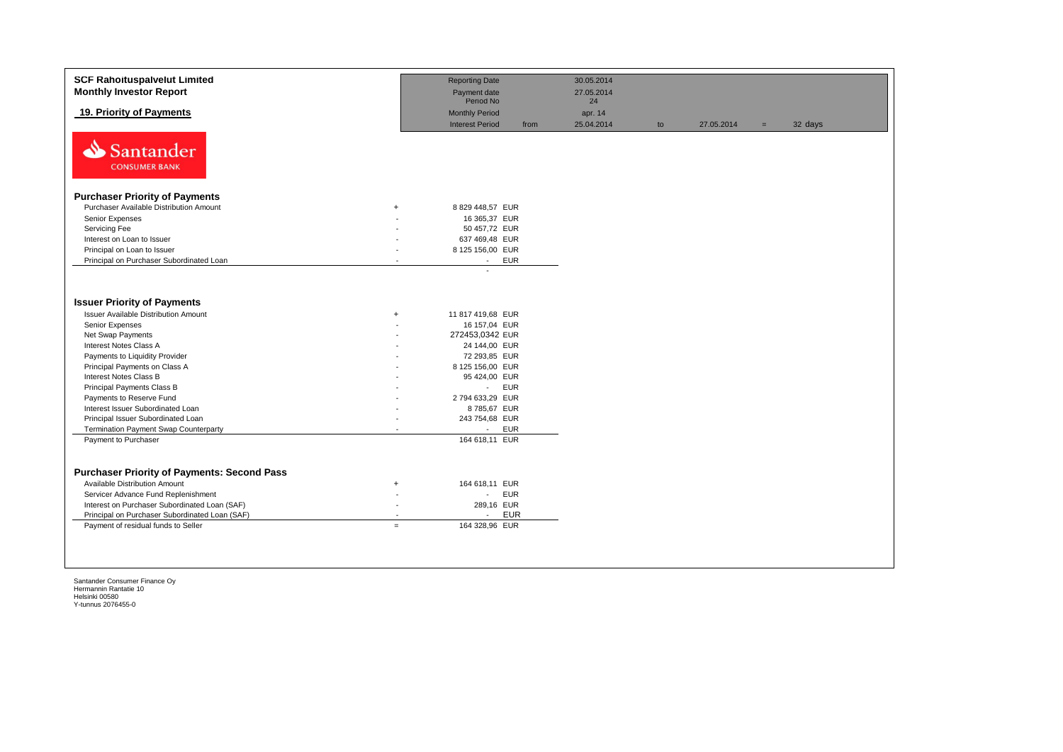|                                                  | <b>Reporting Date</b><br>Payment date                                                                                                                                                         | 30.05.2014<br>27.05.2014                                                                                                                             |    |            |     |         |
|--------------------------------------------------|-----------------------------------------------------------------------------------------------------------------------------------------------------------------------------------------------|------------------------------------------------------------------------------------------------------------------------------------------------------|----|------------|-----|---------|
|                                                  | <b>Monthly Period</b><br><b>Interest Period</b><br>from                                                                                                                                       | apr. 14<br>25.04.2014                                                                                                                                | to | 27.05.2014 | $=$ | 32 days |
|                                                  |                                                                                                                                                                                               |                                                                                                                                                      |    |            |     |         |
|                                                  |                                                                                                                                                                                               |                                                                                                                                                      |    |            |     |         |
|                                                  |                                                                                                                                                                                               |                                                                                                                                                      |    |            |     |         |
|                                                  |                                                                                                                                                                                               |                                                                                                                                                      |    |            |     |         |
|                                                  |                                                                                                                                                                                               |                                                                                                                                                      |    |            |     |         |
|                                                  |                                                                                                                                                                                               |                                                                                                                                                      |    |            |     |         |
|                                                  |                                                                                                                                                                                               |                                                                                                                                                      |    |            |     |         |
| $\sim$                                           | <b>EUR</b><br>$\sim$                                                                                                                                                                          |                                                                                                                                                      |    |            |     |         |
| $+$                                              | 11 817 419,68 EUR<br>16 157,04 EUR<br>272453,0342 EUR<br>24 144,00 EUR<br>72 293,85 EUR<br>8 125 156,00 EUR<br>95 424,00 EUR<br><b>EUR</b><br>$\mathcal{L}^{\mathcal{L}}$<br>2 794 633,29 EUR |                                                                                                                                                      |    |            |     |         |
|                                                  | 243 754,68 EUR                                                                                                                                                                                |                                                                                                                                                      |    |            |     |         |
|                                                  | $\sim$                                                                                                                                                                                        |                                                                                                                                                      |    |            |     |         |
| $+$<br>$\overline{\phantom{a}}$<br>$\sim$<br>$=$ | 164 618,11 EUR<br><b>EUR</b><br>$\sim$<br>289,16 EUR<br><b>EUR</b><br>$\sim$<br>164 328,96 EUR                                                                                                |                                                                                                                                                      |    |            |     |         |
|                                                  | $+$                                                                                                                                                                                           | Period No<br>8 829 448,57 EUR<br>16 365,37 EUR<br>50 457,72 EUR<br>637 469,48 EUR<br>8 125 156,00 EUR<br>8785,67 EUR<br><b>EUR</b><br>164 618,11 EUR | 24 |            |     |         |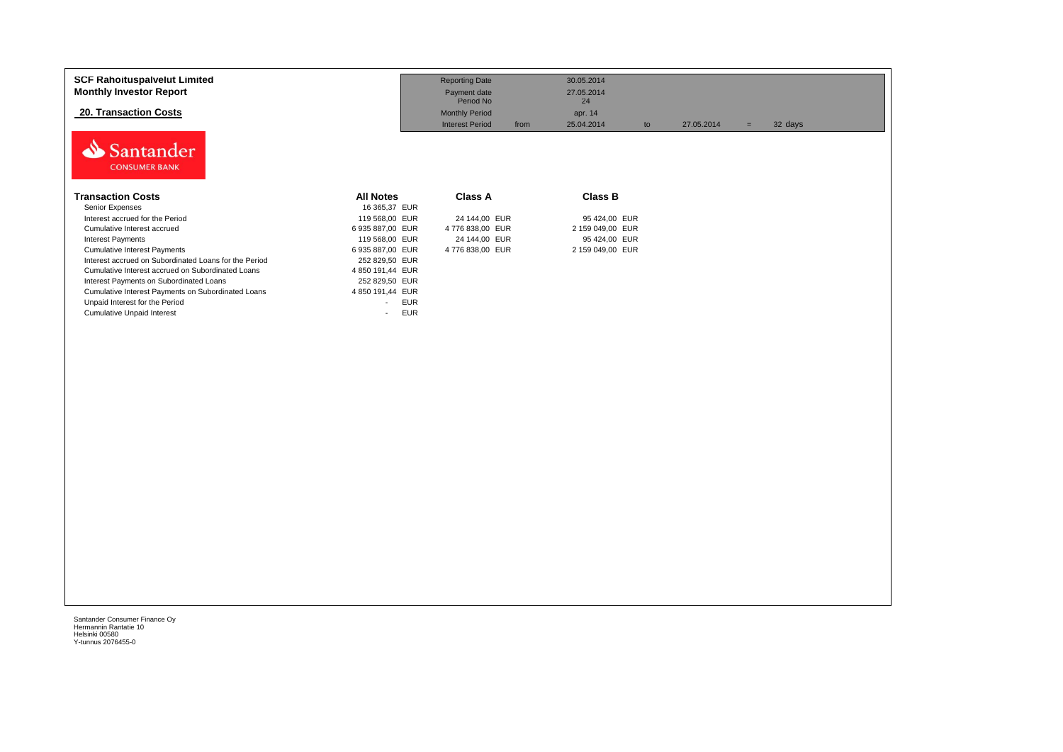| <b>SCF Rahoituspalvelut Limited</b><br><b>Monthly Investor Report</b> |                                        | <b>Reporting Date</b><br>Payment date<br>Period No | 30.05.2014<br>27.05.2014<br>24 |            |                |
|-----------------------------------------------------------------------|----------------------------------------|----------------------------------------------------|--------------------------------|------------|----------------|
| 20. Transaction Costs                                                 |                                        | <b>Monthly Period</b>                              | apr. 14                        |            |                |
| Santander<br><b>CONSUMER BANK</b>                                     |                                        | <b>Interest Period</b><br>from                     | 25.04.2014<br>to               | 27.05.2014 | 32 days<br>$=$ |
| <b>Transaction Costs</b>                                              | <b>All Notes</b>                       | <b>Class A</b>                                     | <b>Class B</b>                 |            |                |
| Senior Expenses                                                       | 16 365,37 EUR                          |                                                    |                                |            |                |
| Interest accrued for the Period                                       | 119 568,00 EUR                         | 24 144,00 EUR                                      | 95 424,00 EUR                  |            |                |
| Cumulative Interest accrued                                           | 6 935 887,00 EUR                       | 4776 838,00 EUR                                    | 2 159 049,00 EUR               |            |                |
| <b>Interest Payments</b>                                              | 119 568,00 EUR                         | 24 144,00 EUR                                      | 95 424,00 EUR                  |            |                |
| <b>Cumulative Interest Payments</b>                                   | 6 935 887,00 EUR                       | 4 776 838,00 EUR                                   | 2 159 049,00 EUR               |            |                |
| Interest accrued on Subordinated Loans for the Period                 | 252 829,50 EUR                         |                                                    |                                |            |                |
| Cumulative Interest accrued on Subordinated Loans                     | 4 850 191,44 EUR                       |                                                    |                                |            |                |
| Interest Payments on Subordinated Loans                               | 252 829,50 EUR                         |                                                    |                                |            |                |
| Cumulative Interest Payments on Subordinated Loans                    | 4 850 191,44 EUR                       |                                                    |                                |            |                |
| Unpaid Interest for the Period                                        | <b>EUR</b><br>$\sim$                   |                                                    |                                |            |                |
| <b>Cumulative Unpaid Interest</b>                                     | <b>EUR</b><br>$\overline{\phantom{a}}$ |                                                    |                                |            |                |
|                                                                       |                                        |                                                    |                                |            |                |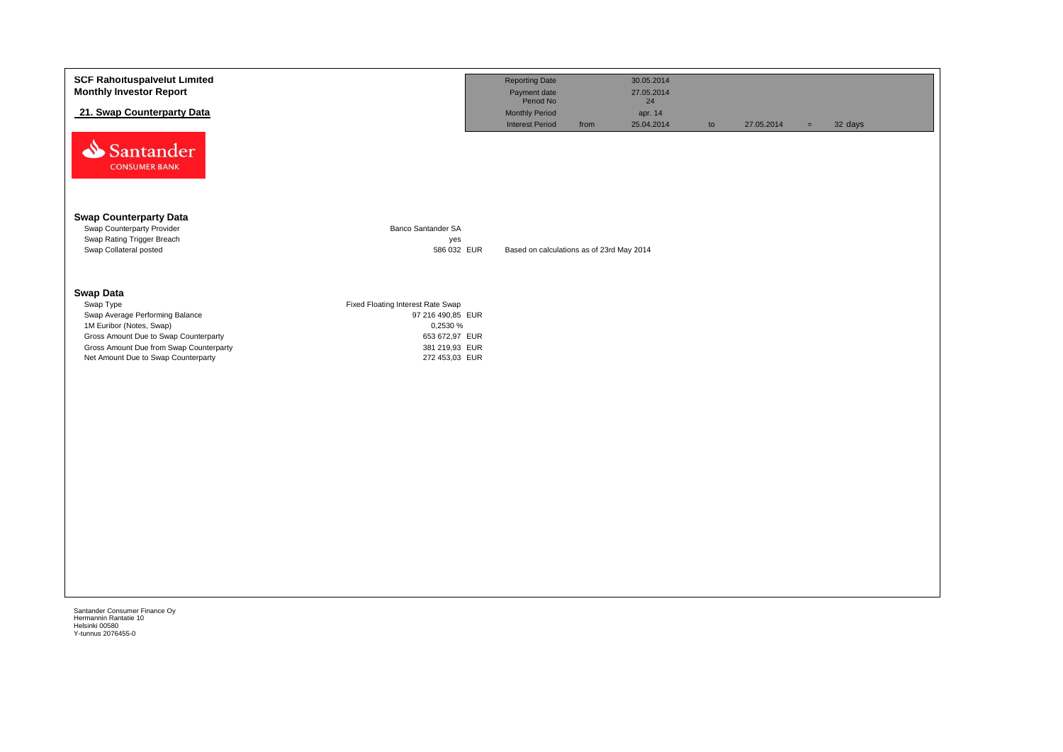| <b>SCF Rahoituspalvelut Limited</b><br><b>Monthly Investor Report</b>                                                                                                                                                   |                                                                                                                          | <b>Reporting Date</b><br>Payment date                         | 30.05.2014<br>27.05.2014    |    |            |     |         |
|-------------------------------------------------------------------------------------------------------------------------------------------------------------------------------------------------------------------------|--------------------------------------------------------------------------------------------------------------------------|---------------------------------------------------------------|-----------------------------|----|------------|-----|---------|
| 21. Swap Counterparty Data                                                                                                                                                                                              |                                                                                                                          | Period No<br>Monthly Period<br><b>Interest Period</b><br>from | 24<br>apr. 14<br>25.04.2014 | to | 27.05.2014 | $=$ | 32 days |
| Santander<br><b>CONSUMER BANK</b>                                                                                                                                                                                       |                                                                                                                          |                                                               |                             |    |            |     |         |
| <b>Swap Counterparty Data</b><br>Swap Counterparty Provider<br>Swap Rating Trigger Breach<br>Swap Collateral posted                                                                                                     | <b>Banco Santander SA</b><br>yes<br>586 032 EUR                                                                          | Based on calculations as of 23rd May 2014                     |                             |    |            |     |         |
| <b>Swap Data</b><br>Swap Type<br>Swap Average Performing Balance<br>1M Euribor (Notes, Swap)<br>Gross Amount Due to Swap Counterparty<br>Gross Amount Due from Swap Counterparty<br>Net Amount Due to Swap Counterparty | Fixed Floating Interest Rate Swap<br>97 216 490,85 EUR<br>0,2530 %<br>653 672,97 EUR<br>381 219,93 EUR<br>272 453,03 EUR |                                                               |                             |    |            |     |         |
|                                                                                                                                                                                                                         |                                                                                                                          |                                                               |                             |    |            |     |         |

Hermannin Rantatie 10 Helsinki 00580 Y-tunnus 2076455-0